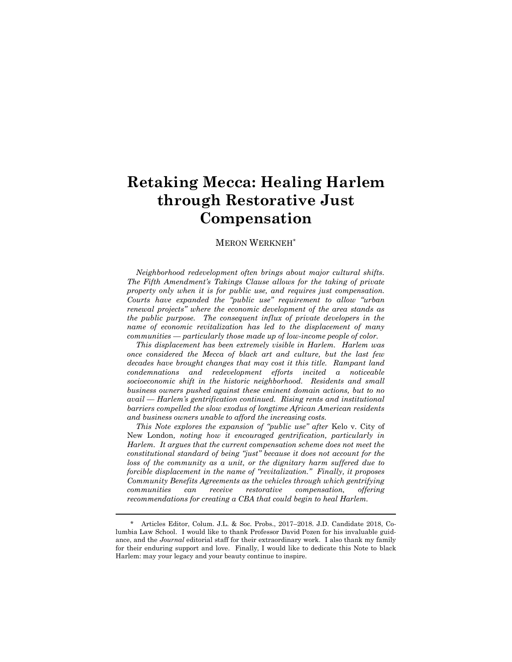# **Retaking Mecca: Healing Harlem through Restorative Just Compensation**

### MERON WERKNEH\*

*Neighborhood redevelopment often brings about major cultural shifts. The Fifth Amendment"s Takings Clause allows for the taking of private property only when it is for public use, and requires just compensation. Courts have expanded the "public use" requirement to allow "urban renewal projects" where the economic development of the area stands as the public purpose. The consequent influx of private developers in the name of economic revitalization has led to the displacement of many communities — particularly those made up of low-income people of color.*

*This displacement has been extremely visible in Harlem. Harlem was once considered the Mecca of black art and culture, but the last few decades have brought changes that may cost it this title. Rampant land condemnations and redevelopment efforts incited a noticeable socioeconomic shift in the historic neighborhood. Residents and small business owners pushed against these eminent domain actions, but to no avail — Harlem"s gentrification continued. Rising rents and institutional barriers compelled the slow exodus of longtime African American residents and business owners unable to afford the increasing costs.*

*This Note explores the expansion of "public use" after* Kelo v. City of New London*, noting how it encouraged gentrification, particularly in Harlem. It argues that the current compensation scheme does not meet the constitutional standard of being "just" because it does not account for the loss of the community as a unit, or the dignitary harm suffered due to forcible displacement in the name of "revitalization." Finally, it proposes Community Benefits Agreements as the vehicles through which gentrifying communities can receive restorative compensation, offering recommendations for creating a CBA that could begin to heal Harlem.*

<sup>\*</sup> Articles Editor, Colum. J.L. & Soc. Probs., 2017–2018. J.D. Candidate 2018, Columbia Law School. I would like to thank Professor David Pozen for his invaluable guidance, and the *Journal* editorial staff for their extraordinary work. I also thank my family for their enduring support and love. Finally, I would like to dedicate this Note to black Harlem: may your legacy and your beauty continue to inspire.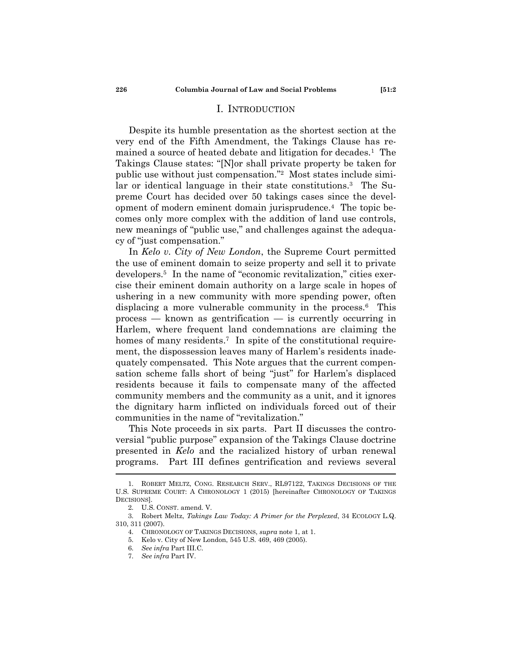### <span id="page-1-0"></span>I. INTRODUCTION

Despite its humble presentation as the shortest section at the very end of the Fifth Amendment, the Takings Clause has remained a source of heated debate and litigation for decades.<sup>1</sup> The Takings Clause states: "[N]or shall private property be taken for public use without just compensation." Most states include similar or identical language in their state constitutions.<sup>3</sup> The Supreme Court has decided over 50 takings cases since the development of modern eminent domain jurisprudence.<sup>4</sup> The topic becomes only more complex with the addition of land use controls, new meanings of "public use," and challenges against the adequacy of "just compensation."

In *Kelo v. City of New London*, the Supreme Court permitted the use of eminent domain to seize property and sell it to private developers.<sup>5</sup> In the name of "economic revitalization," cities exercise their eminent domain authority on a large scale in hopes of ushering in a new community with more spending power, often displacing a more vulnerable community in the process.<sup>6</sup> This process — known as gentrification — is currently occurring in Harlem, where frequent land condemnations are claiming the homes of many residents.<sup>7</sup> In spite of the constitutional requirement, the dispossession leaves many of Harlem's residents inadequately compensated. This Note argues that the current compensation scheme falls short of being "just" for Harlem's displaced residents because it fails to compensate many of the affected community members and the community as a unit, and it ignores the dignitary harm inflicted on individuals forced out of their communities in the name of "revitalization."

This Note proceeds in six parts. Part II discusses the controversial "public purpose" expansion of the Takings Clause doctrine presented in *Kelo* and the racialized history of urban renewal programs. Part III defines gentrification and reviews several

<sup>1.</sup> ROBERT MELTZ, CONG. RESEARCH SERV., RL97122, TAKINGS DECISIONS OF THE U.S. SUPREME COURT: A CHRONOLOGY 1 (2015) [hereinafter CHRONOLOGY OF TAKINGS DECISIONS].

<sup>2.</sup> U.S. CONST. amend. V.

<sup>3.</sup> Robert Meltz, *Takings Law Today: A Primer for the Perplexed*, 34 ECOLOGY L.Q. 310, 311 (2007).

<sup>4.</sup> CHRONOLOGY OF TAKINGS DECISIONS, *supra* note [1,](#page-1-0) at 1.

<sup>5.</sup> Kelo v. City of New London, 545 U.S. 469, 469 (2005).

<sup>6.</sup> *See infra* Part III.C.

<sup>7.</sup> *See infra* Part IV.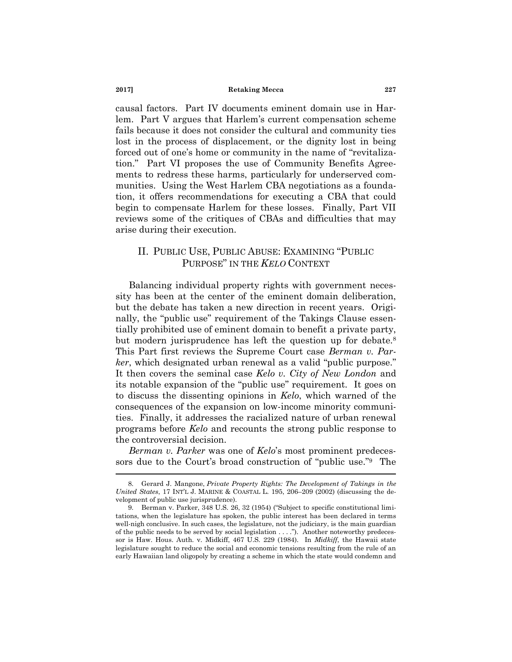causal factors. Part IV documents eminent domain use in Harlem. Part V argues that Harlem's current compensation scheme fails because it does not consider the cultural and community ties lost in the process of displacement, or the dignity lost in being forced out of one's home or community in the name of "revitalization." Part VI proposes the use of Community Benefits Agreements to redress these harms, particularly for underserved communities. Using the West Harlem CBA negotiations as a foundation, it offers recommendations for executing a CBA that could begin to compensate Harlem for these losses. Finally, Part VII reviews some of the critiques of CBAs and difficulties that may arise during their execution.

# II. PUBLIC USE, PUBLIC ABUSE: EXAMINING "PUBLIC PURPOSE‖ IN THE *KELO* CONTEXT

Balancing individual property rights with government necessity has been at the center of the eminent domain deliberation, but the debate has taken a new direction in recent years. Originally, the "public use" requirement of the Takings Clause essentially prohibited use of eminent domain to benefit a private party, but modern jurisprudence has left the question up for debate.<sup>8</sup> This Part first reviews the Supreme Court case *Berman v. Parker*, which designated urban renewal as a valid "public purpose." It then covers the seminal case *Kelo v. City of New London* and its notable expansion of the "public use" requirement. It goes on to discuss the dissenting opinions in *Kelo*, which warned of the consequences of the expansion on low-income minority communities. Finally, it addresses the racialized nature of urban renewal programs before *Kelo* and recounts the strong public response to the controversial decision.

*Berman v. Parker* was one of *Kelo*'s most prominent predecessors due to the Court's broad construction of "public use." The

<sup>8.</sup> Gerard J. Mangone, *Private Property Rights: The Development of Takings in the United States*, 17 INT'L J. MARINE & COASTAL L. 195, 206–209 (2002) (discussing the development of public use jurisprudence).

<sup>9.</sup> Berman v. Parker,  $348 \text{ U.S. } 26, 32 \text{ (1954)}$  ("Subject to specific constitutional limitations, when the legislature has spoken, the public interest has been declared in terms well-nigh conclusive. In such cases, the legislature, not the judiciary, is the main guardian of the public needs to be served by social legislation  $\dots$ ."). Another noteworthy predecessor is Haw. Hous. Auth. v. Midkiff, 467 U.S. 229 (1984). In *Midkiff*, the Hawaii state legislature sought to reduce the social and economic tensions resulting from the rule of an early Hawaiian land oligopoly by creating a scheme in which the state would condemn and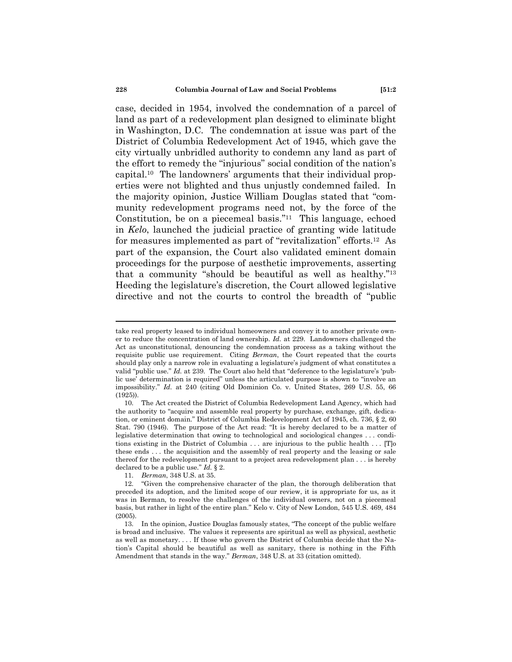case, decided in 1954, involved the condemnation of a parcel of land as part of a redevelopment plan designed to eliminate blight in Washington, D.C. The condemnation at issue was part of the District of Columbia Redevelopment Act of 1945, which gave the city virtually unbridled authority to condemn any land as part of the effort to remedy the "injurious" social condition of the nation's capital.<sup>10</sup> The landowners' arguments that their individual properties were not blighted and thus unjustly condemned failed. In the majority opinion, Justice William Douglas stated that "community redevelopment programs need not, by the force of the Constitution, be on a piecemeal basis." $11$  This language, echoed in *Kelo*, launched the judicial practice of granting wide latitude for measures implemented as part of "revitalization" efforts.<sup>12</sup> As part of the expansion, the Court also validated eminent domain proceedings for the purpose of aesthetic improvements, asserting that a community "should be beautiful as well as healthy."<sup>13</sup> Heeding the legislature's discretion, the Court allowed legislative directive and not the courts to control the breadth of "public"

take real property leased to individual homeowners and convey it to another private owner to reduce the concentration of land ownership. *Id.* at 229. Landowners challenged the Act as unconstitutional, denouncing the condemnation process as a taking without the requisite public use requirement. Citing *Berman*, the Court repeated that the courts should play only a narrow role in evaluating a legislature's judgment of what constitutes a valid "public use." *Id.* at 239. The Court also held that "deference to the legislature's 'public use' determination is required" unless the articulated purpose is shown to "involve an impossibility." *Id.* at 240 (citing Old Dominion Co. v. United States, 269 U.S. 55, 66 (1925)).

<sup>10.</sup> The Act created the District of Columbia Redevelopment Land Agency, which had the authority to "acquire and assemble real property by purchase, exchange, gift, dedication, or eminent domain." District of Columbia Redevelopment Act of 1945, ch. 736, § 2, 60 Stat. 790 (1946). The purpose of the Act read: "It is hereby declared to be a matter of legislative determination that owing to technological and sociological changes . . . conditions existing in the District of Columbia . . . are injurious to the public health . . . [T]o these ends . . . the acquisition and the assembly of real property and the leasing or sale thereof for the redevelopment pursuant to a project area redevelopment plan . . . is hereby declared to be a public use."  $Id. \S$  2.

<sup>11.</sup> *Berman*, 348 U.S. at 35. 12. ―Given the comprehensive character of the plan, the thorough deliberation that preceded its adoption, and the limited scope of our review, it is appropriate for us, as it was in Berman, to resolve the challenges of the individual owners, not on a piecemeal basis, but rather in light of the entire plan.‖ Kelo v. City of New London, 545 U.S. 469, 484 (2005).

<sup>13.</sup> In the opinion, Justice Douglas famously states, "The concept of the public welfare is broad and inclusive. The values it represents are spiritual as well as physical, aesthetic as well as monetary. . . . If those who govern the District of Columbia decide that the Nation's Capital should be beautiful as well as sanitary, there is nothing in the Fifth Amendment that stands in the way." *Berman*, 348 U.S. at 33 (citation omitted).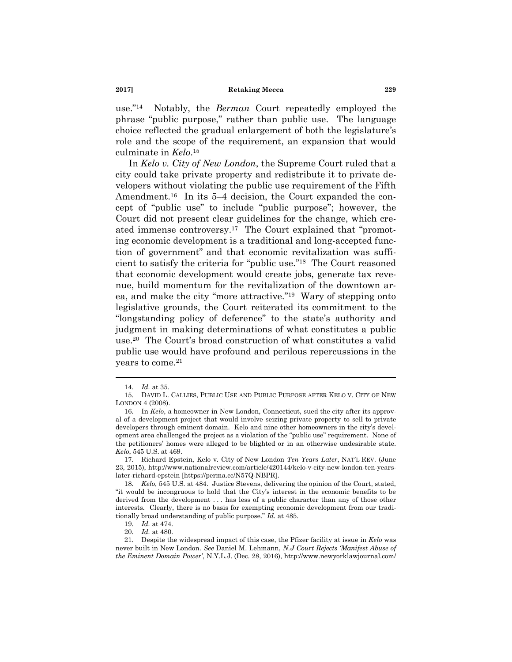$use."14$ <sup>14</sup> Notably, the *Berman* Court repeatedly employed the phrase "public purpose," rather than public use. The language choice reflected the gradual enlargement of both the legislature's role and the scope of the requirement, an expansion that would culminate in *Kelo*. 15

<span id="page-4-0"></span>In *Kelo v. City of New London*, the Supreme Court ruled that a city could take private property and redistribute it to private developers without violating the public use requirement of the Fifth Amendment.<sup>16</sup> In its 5–4 decision, the Court expanded the concept of "public use" to include "public purpose"; however, the Court did not present clear guidelines for the change, which created immense controversy.<sup>17</sup> The Court explained that "promoting economic development is a traditional and long-accepted function of government" and that economic revitalization was sufficient to satisfy the criteria for "public use."<sup>18</sup> The Court reasoned that economic development would create jobs, generate tax revenue, build momentum for the revitalization of the downtown area, and make the city "more attractive."<sup>19</sup> Wary of stepping onto legislative grounds, the Court reiterated its commitment to the "longstanding policy of deference" to the state's authority and judgment in making determinations of what constitutes a public use.<sup>20</sup> The Court's broad construction of what constitutes a valid public use would have profound and perilous repercussions in the years to come.<sup>21</sup>

<span id="page-4-1"></span><sup>14.</sup> *Id.* at 35.

<sup>15.</sup> DAVID L. CALLIES, PUBLIC USE AND PUBLIC PURPOSE AFTER KELO V. CITY OF NEW LONDON 4 (2008).

<sup>16.</sup> In *Kelo*, a homeowner in New London, Connecticut, sued the city after its approval of a development project that would involve seizing private property to sell to private developers through eminent domain. Kelo and nine other homeowners in the city's development area challenged the project as a violation of the "public use" requirement. None of the petitioners' homes were alleged to be blighted or in an otherwise undesirable state. *Kelo*, 545 U.S. at 469.

<sup>17.</sup> Richard Epstein, Kelo v. City of New London *Ten Years Later*, NAT'L REV. (June 23, 2015), http://www.nationalreview.com/article/420144/kelo-v-city-new-london-ten-yearslater-richard-epstein [https://perma.cc/N57Q-NBPR].

<sup>18.</sup> *Kelo*, 545 U.S. at 484. Justice Stevens, delivering the opinion of the Court, stated, ―it would be incongruous to hold that the City's interest in the economic benefits to be derived from the development . . . has less of a public character than any of those other interests. Clearly, there is no basis for exempting economic development from our traditionally broad understanding of public purpose." *Id.* at 485.

<sup>19.</sup> *Id.* at 474.

<sup>20.</sup> *Id.* at 480.

<sup>21.</sup> Despite the widespread impact of this case, the Pfizer facility at issue in *Kelo* was never built in New London. *See* Daniel M. Lehmann, *N.J Court Rejects "Manifest Abuse of the Eminent Domain Power"*, N.Y.L.J. (Dec. 28, 2016), http://www.newyorklawjournal.com/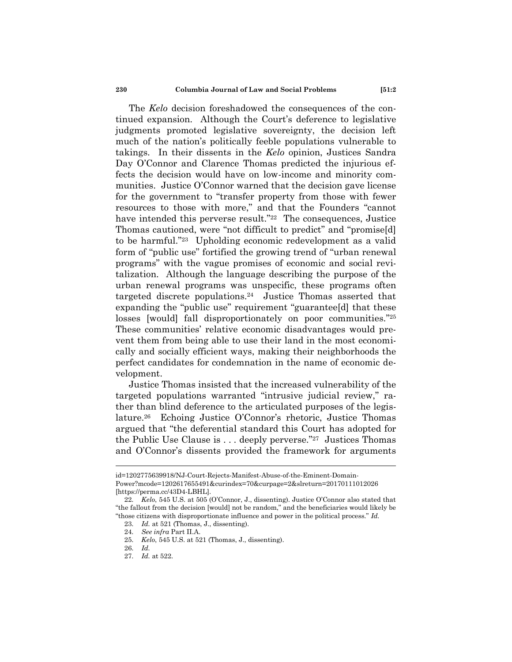The *Kelo* decision foreshadowed the consequences of the continued expansion. Although the Court's deference to legislative judgments promoted legislative sovereignty, the decision left much of the nation's politically feeble populations vulnerable to takings. In their dissents in the *Kelo* opinion, Justices Sandra Day O'Connor and Clarence Thomas predicted the injurious effects the decision would have on low-income and minority communities. Justice O'Connor warned that the decision gave license for the government to "transfer property from those with fewer resources to those with more," and that the Founders "cannot have intended this perverse result."<sup>22</sup> The consequences, Justice Thomas cautioned, were "not difficult to predict" and "promise[d] to be harmful."<sup>23</sup> Upholding economic redevelopment as a valid form of "public use" fortified the growing trend of "urban renewal programs‖ with the vague promises of economic and social revitalization. Although the language describing the purpose of the urban renewal programs was unspecific, these programs often targeted discrete populations.<sup>24</sup> Justice Thomas asserted that expanding the "public use" requirement "guarantee[d] that these losses [would] fall disproportionately on poor communities."25 These communities' relative economic disadvantages would prevent them from being able to use their land in the most economically and socially efficient ways, making their neighborhoods the perfect candidates for condemnation in the name of economic development.

Justice Thomas insisted that the increased vulnerability of the targeted populations warranted "intrusive judicial review," rather than blind deference to the articulated purposes of the legislature.<sup>26</sup> Echoing Justice O'Connor's rhetoric, Justice Thomas argued that "the deferential standard this Court has adopted for the Public Use Clause is  $\dots$  deeply perverse."<sup>27</sup> Justices Thomas and O'Connor's dissents provided the framework for arguments

id=1202775639918/NJ-Court-Rejects-Manifest-Abuse-of-the-Eminent-Domain-Power?mcode=1202617655491&curindex=70&curpage=2&slreturn=20170111012026 [https://perma.cc/43D4-LBHL].

<sup>22.</sup> *Kelo*, 545 U.S. at 505 (O'Connor, J., dissenting). Justice O'Connor also stated that ―the fallout from the decision [would] not be random,‖ and the beneficiaries would likely be ―those citizens with disproportionate influence and power in the political process.‖ *Id.*

<sup>23.</sup> *Id.* at 521 (Thomas, J., dissenting).

<sup>24.</sup> *See infra* Part II.A.

<sup>25.</sup> *Kelo*, 545 U.S. at 521 (Thomas, J., dissenting).

<sup>26.</sup> *Id.*

<sup>27.</sup> *Id.* at 522.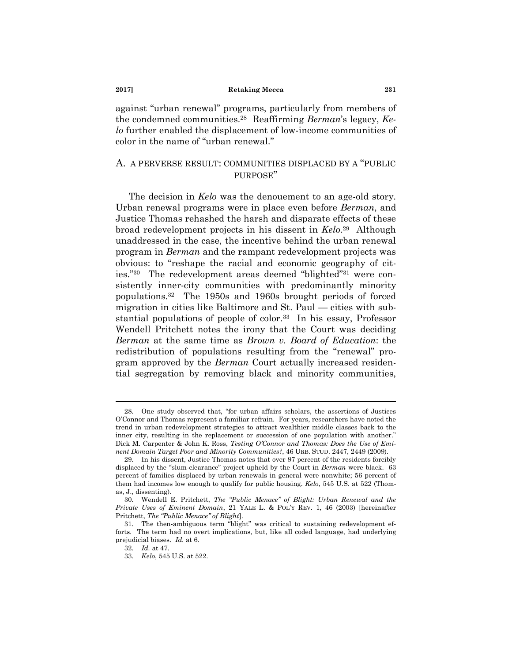<span id="page-6-1"></span>against "urban renewal" programs, particularly from members of the condemned communities.<sup>28</sup> Reaffirming *Berman*'s legacy, *Kelo* further enabled the displacement of low-income communities of color in the name of "urban renewal."

# A. A PERVERSE RESULT: COMMUNITIES DISPLACED BY A "PUBLIC PURPOSE"

<span id="page-6-0"></span>The decision in *Kelo* was the denouement to an age-old story. Urban renewal programs were in place even before *Berman*, and Justice Thomas rehashed the harsh and disparate effects of these broad redevelopment projects in his dissent in *Kelo*. <sup>29</sup> Although unaddressed in the case, the incentive behind the urban renewal program in *Berman* and the rampant redevelopment projects was obvious: to "reshape the racial and economic geography of cities."<sup>30</sup> The redevelopment areas deemed "blighted"<sup>31</sup> were consistently inner-city communities with predominantly minority populations.<sup>32</sup> The 1950s and 1960s brought periods of forced migration in cities like Baltimore and St. Paul — cities with substantial populations of people of color.<sup>33</sup> In his essay, Professor Wendell Pritchett notes the irony that the Court was deciding *Berman* at the same time as *Brown v. Board of Education*: the redistribution of populations resulting from the "renewal" program approved by the *Berman* Court actually increased residential segregation by removing black and minority communities,

<sup>28.</sup> One study observed that, "for urban affairs scholars, the assertions of Justices O'Connor and Thomas represent a familiar refrain. For years, researchers have noted the trend in urban redevelopment strategies to attract wealthier middle classes back to the inner city, resulting in the replacement or succession of one population with another." Dick M. Carpenter & John K. Ross, *Testing O"Connor and Thomas: Does the Use of Eminent Domain Target Poor and Minority Communities?*, 46 URB. STUD. 2447, 2449 (2009).

<sup>29.</sup> In his dissent, Justice Thomas notes that over 97 percent of the residents forcibly displaced by the "slum-clearance" project upheld by the Court in *Berman* were black. 63 percent of families displaced by urban renewals in general were nonwhite; 56 percent of them had incomes low enough to qualify for public housing. *Kelo*, 545 U.S. at 522 (Thomas, J., dissenting).

<sup>30.</sup> Wendell E. Pritchett, *The "Public Menace" of Blight: Urban Renewal and the Private Uses of Eminent Domain*, 21 YALE L. & POL'Y REV. 1, 46 (2003) [hereinafter Pritchett, *The "Public Menace" of Blight*].

<sup>31.</sup> The then-ambiguous term "blight" was critical to sustaining redevelopment efforts. The term had no overt implications, but, like all coded language, had underlying prejudicial biases. *Id.* at 6.

<sup>32.</sup> *Id.* at 47.

<sup>33.</sup> *Kelo*, 545 U.S. at 522.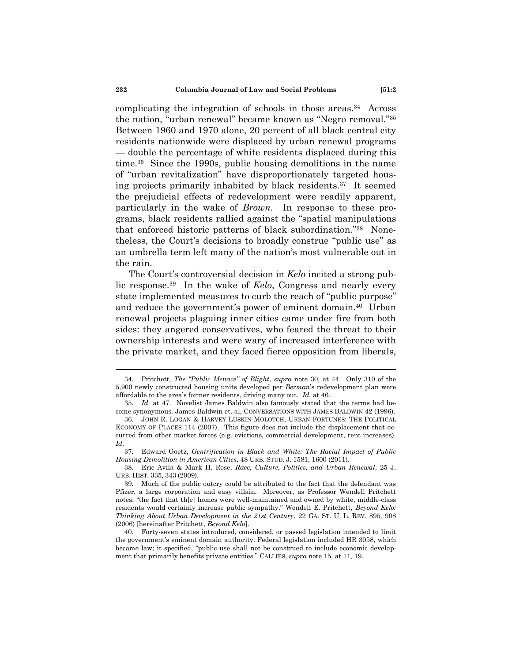complicating the integration of schools in those areas.<sup>34</sup> Across the nation, "urban renewal" became known as "Negro removal."<sup>35</sup> Between 1960 and 1970 alone, 20 percent of all black central city residents nationwide were displaced by urban renewal programs — double the percentage of white residents displaced during this time.<sup>36</sup> Since the 1990s, public housing demolitions in the name of "urban revitalization" have disproportionately targeted housing projects primarily inhabited by black residents.<sup>37</sup> It seemed the prejudicial effects of redevelopment were readily apparent, particularly in the wake of *Brown*. In response to these programs, black residents rallied against the "spatial manipulations" that enforced historic patterns of black subordination."<sup>38</sup> Nonetheless, the Court's decisions to broadly construe "public use" as an umbrella term left many of the nation's most vulnerable out in the rain.

<span id="page-7-0"></span>The Court's controversial decision in *Kelo* incited a strong public response.<sup>39</sup> In the wake of *Kelo*, Congress and nearly every state implemented measures to curb the reach of "public purpose" and reduce the government's power of eminent domain.<sup>40</sup> Urban renewal projects plaguing inner cities came under fire from both sides: they angered conservatives, who feared the threat to their ownership interests and were wary of increased interference with the private market, and they faced fierce opposition from liberals,

<sup>34.</sup> Pritchett, *The "Public Menace" of Blight*, *supra* note [30,](#page-6-0) at 44. Only 310 of the 5,900 newly constructed housing units developed per *Berman*'s redevelopment plan were affordable to the area's former residents, driving many out. *Id.* at 46.

<sup>35.</sup> *Id.* at 47. Novelist James Baldwin also famously stated that the terms had become synonymous. James Baldwin et. al, CONVERSATIONS WITH JAMES BALDWIN 42 (1996).

<sup>36.</sup> JOHN R. LOGAN & HARVEY LUSKIN MOLOTCH, URBAN FORTUNES: THE POLITICAL ECONOMY OF PLACES 114 (2007). This figure does not include the displacement that occurred from other market forces (e.g. evictions, commercial development, rent increases). *Id.*

<sup>37.</sup> Edward Goetz, *Gentrification in Black and White: The Racial Impact of Public Housing Demolition in American Cities*, 48 URB. STUD. J. 1581, 1600 (2011).

<sup>38.</sup> Eric Avila & Mark H. Rose, *Race, Culture, Politics, and Urban Renewal*, 25 J. URB. HIST. 335, 343 (2009).

<sup>39.</sup> Much of the public outcry could be attributed to the fact that the defendant was Pfizer, a large corporation and easy villain. Moreover, as Professor Wendell Pritchett notes, "the fact that th[e] homes were well-maintained and owned by white, middle-class residents would certainly increase public sympathy.‖ Wendell E. Pritchett, *Beyond Kelo: Thinking About Urban Development in the 21st Century*, 22 GA. ST. U. L. REV. 895, 908 (2006) [hereinafter Pritchett, *Beyond Kelo*].

<sup>40.</sup> Forty-seven states introduced, considered, or passed legislation intended to limit the government's eminent domain authority. Federal legislation included HR 3058, which became law; it specified, "public use shall not be construed to include economic development that primarily benefits private entities.‖ CALLIES, *supra* note [15,](#page-4-0) at 11, 19.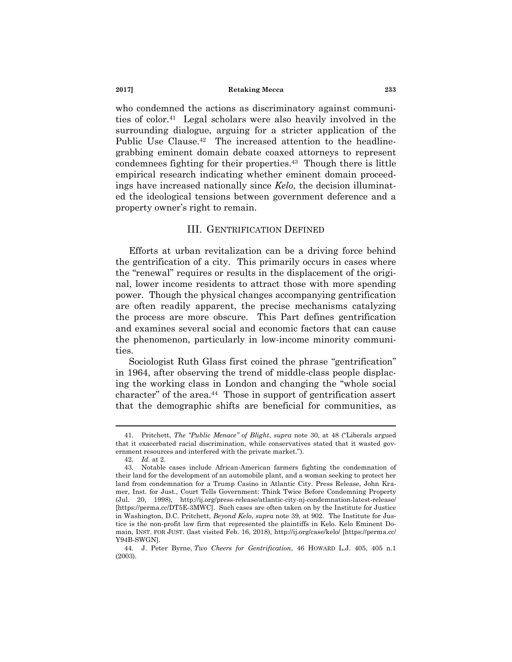who condemned the actions as discriminatory against communities of color.<sup>41</sup> Legal scholars were also heavily involved in the surrounding dialogue, arguing for a stricter application of the Public Use Clause.<sup>42</sup> The increased attention to the headlinegrabbing eminent domain debate coaxed attorneys to represent condemnees fighting for their properties.<sup>43</sup> Though there is little empirical research indicating whether eminent domain proceedings have increased nationally since *Kelo*, the decision illuminated the ideological tensions between government deference and a property owner's right to remain.

# III. GENTRIFICATION DEFINED

Efforts at urban revitalization can be a driving force behind the gentrification of a city. This primarily occurs in cases where the "renewal" requires or results in the displacement of the original, lower income residents to attract those with more spending power. Though the physical changes accompanying gentrification are often readily apparent, the precise mechanisms catalyzing the process are more obscure. This Part defines gentrification and examines several social and economic factors that can cause the phenomenon, particularly in low-income minority communities.

Sociologist Ruth Glass first coined the phrase "gentrification" in 1964, after observing the trend of middle-class people displacing the working class in London and changing the "whole social character" of the area.<sup>44</sup> Those in support of gentrification assert that the demographic shifts are beneficial for communities, as

<sup>41.</sup> Pritchett, *The "Public Menace" of Blight*, *supra* note [30,](#page-6-0) at 48 ("Liberals argued that it exacerbated racial discrimination, while conservatives stated that it wasted government resources and interfered with the private market.").

<sup>42.</sup> *Id.* at 2.

<sup>43.</sup> Notable cases include African-American farmers fighting the condemnation of their land for the development of an automobile plant, and a woman seeking to protect her land from condemnation for a Trump Casino in Atlantic City. Press Release, John Kramer, Inst. for Just., Court Tells Government: Think Twice Before Condemning Property (Jul. 20, 1998), http://ij.org/press-release/atlantic-city-nj-condemnation-latest-release/ [https://perma.cc/DT5E-3MWC]. Such cases are often taken on by the Institute for Justice in Washington, D.C. Pritchett, *Beyond Kelo*, *supra* note [39,](#page-7-0) at 902. The Institute for Justice is the non-profit law firm that represented the plaintiffs in Kelo. Kelo Eminent Domain, INST. FOR JUST. (last visited Feb. 16, 2018), http://ij.org/case/kelo/ [https://perma.cc/ Y94B-SWGN].

<sup>44.</sup> J. Peter Byrne, *Two Cheers for Gentrification*, 46 HOWARD L.J. 405, 405 n.1 (2003).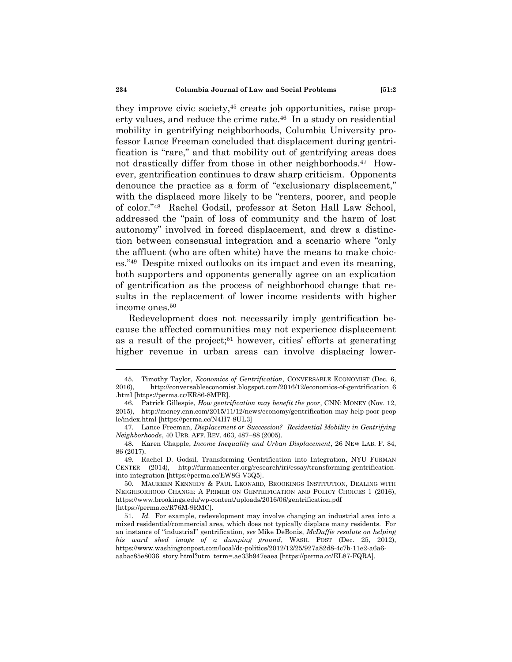<span id="page-9-1"></span>they improve civic society,<sup>45</sup> create job opportunities, raise property values, and reduce the crime rate.<sup>46</sup> In a study on residential mobility in gentrifying neighborhoods, Columbia University professor Lance Freeman concluded that displacement during gentrification is "rare," and that mobility out of gentrifying areas does not drastically differ from those in other neighborhoods.<sup>47</sup> However, gentrification continues to draw sharp criticism. Opponents denounce the practice as a form of "exclusionary displacement," with the displaced more likely to be "renters, poorer, and people of color."<sup>48</sup> Rachel Godsil, professor at Seton Hall Law School, addressed the "pain of loss of community and the harm of lost autonomy" involved in forced displacement, and drew a distinction between consensual integration and a scenario where "only" the affluent (who are often white) have the means to make choices."<sup>49</sup> Despite mixed outlooks on its impact and even its meaning, both supporters and opponents generally agree on an explication of gentrification as the process of neighborhood change that results in the replacement of lower income residents with higher income ones.<sup>50</sup>

<span id="page-9-0"></span>Redevelopment does not necessarily imply gentrification because the affected communities may not experience displacement as a result of the project;<sup>51</sup> however, cities' efforts at generating higher revenue in urban areas can involve displacing lower-

<sup>45.</sup> Timothy Taylor, *Economics of Gentrification*, CONVERSABLE ECONOMIST (Dec. 6, 2016). http://conversableeconomist.blogspot.com/2016/12/economics-of-gentrification\_6 2016), http://conversableeconomist.blogspot.com/2016/12/economics-of-gentrification\_6 .html [https://perma.cc/ER86-8MPR].

<sup>46.</sup> Patrick Gillespie, *How gentrification may benefit the poor*, CNN: MONEY (Nov. 12, 2015), http://money.cnn.com/2015/11/12/news/economy/gentrification-may-help-poor-peop le/index.html [https://perma.cc/N4H7-8UL3]

<sup>47.</sup> Lance Freeman, *Displacement or Succession? Residential Mobility in Gentrifying Neighborhoods*, 40 URB. AFF. REV. 463, 487–88 (2005).

<sup>48.</sup> Karen Chapple, *Income Inequality and Urban Displacement*, 26 NEW LAB. F. 84, 86 (2017).

<sup>49.</sup> Rachel D. Godsil, Transforming Gentrification into Integration, NYU FURMAN CENTER (2014), http://furmancenter.org/research/iri/essay/transforming-gentrificationinto-integration [https://perma.cc/EW8G-V3Q5].

<sup>50.</sup> MAUREEN KENNEDY & PAUL LEONARD, BROOKINGS INSTITUTION, DEALING WITH NEIGHBORHOOD CHANGE: A PRIMER ON GENTRIFICATION AND POLICY CHOICES 1 (2016), https://www.brookings.edu/wp-content/uploads/2016/06/gentrification.pdf [https://perma.cc/R76M-9RMC].

<sup>51.</sup> *Id.* For example, redevelopment may involve changing an industrial area into a mixed residential/commercial area, which does not typically displace many residents. For an instance of "industrial" gentrification, *see* Mike DeBonis, *McDuffie resolute on helping his ward shed image of a dumping ground*, WASH. POST (Dec. 25, 2012), https://www.washingtonpost.com/local/dc-politics/2012/12/25/927a82d8-4c7b-11e2-a6a6 aabac85e8036\_story.html?utm\_term=.ae33b947eaea [https://perma.cc/EL87-FQRA].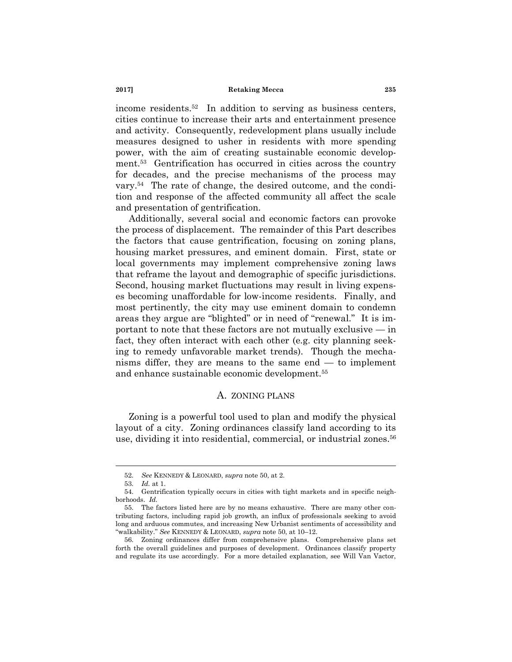income residents.<sup>52</sup> In addition to serving as business centers, cities continue to increase their arts and entertainment presence and activity. Consequently, redevelopment plans usually include measures designed to usher in residents with more spending power, with the aim of creating sustainable economic development.<sup>53</sup> Gentrification has occurred in cities across the country for decades, and the precise mechanisms of the process may vary.<sup>54</sup> The rate of change, the desired outcome, and the condition and response of the affected community all affect the scale and presentation of gentrification.

Additionally, several social and economic factors can provoke the process of displacement. The remainder of this Part describes the factors that cause gentrification, focusing on zoning plans, housing market pressures, and eminent domain. First, state or local governments may implement comprehensive zoning laws that reframe the layout and demographic of specific jurisdictions. Second, housing market fluctuations may result in living expenses becoming unaffordable for low-income residents. Finally, and most pertinently, the city may use eminent domain to condemn areas they argue are "blighted" or in need of "renewal." It is important to note that these factors are not mutually exclusive — in fact, they often interact with each other (e.g. city planning seeking to remedy unfavorable market trends). Though the mechanisms differ, they are means to the same end — to implement and enhance sustainable economic development.<sup>55</sup>

### A. ZONING PLANS

Zoning is a powerful tool used to plan and modify the physical layout of a city. Zoning ordinances classify land according to its use, dividing it into residential, commercial, or industrial zones.<sup>56</sup>

<sup>52.</sup> *See* KENNEDY & LEONARD, *supra* not[e 50,](#page-9-0) at 2.

<sup>53.</sup> *Id.* at 1.

<sup>54.</sup> Gentrification typically occurs in cities with tight markets and in specific neighborhoods. *Id.*

<sup>55.</sup> The factors listed here are by no means exhaustive. There are many other contributing factors, including rapid job growth, an influx of professionals seeking to avoid long and arduous commutes, and increasing New Urbanist sentiments of accessibility and ―walkability.‖ *See* KENNEDY & LEONARD, *supra* not[e 50,](#page-9-0) at 10–12.

<sup>56.</sup> Zoning ordinances differ from comprehensive plans. Comprehensive plans set forth the overall guidelines and purposes of development. Ordinances classify property and regulate its use accordingly. For a more detailed explanation, see Will Van Vactor,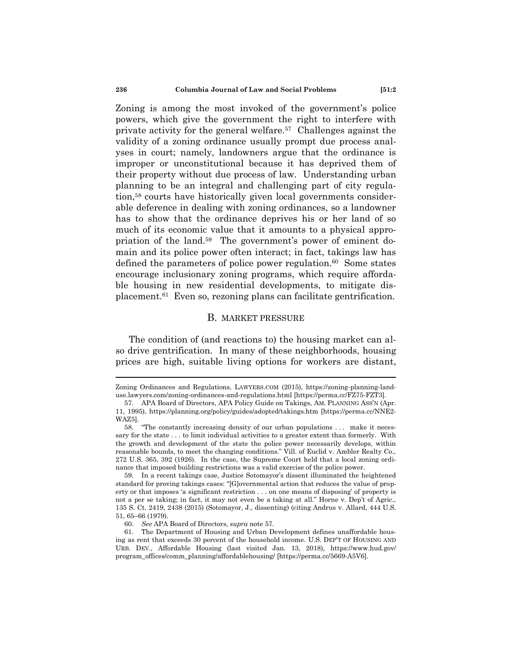**236 Columbia Journal of Law and Social Problems [51:2**

<span id="page-11-0"></span>Zoning is among the most invoked of the government's police powers, which give the government the right to interfere with private activity for the general welfare.<sup>57</sup> Challenges against the validity of a zoning ordinance usually prompt due process analyses in court; namely, landowners argue that the ordinance is improper or unconstitutional because it has deprived them of their property without due process of law. Understanding urban planning to be an integral and challenging part of city regulation,<sup>58</sup> courts have historically given local governments considerable deference in dealing with zoning ordinances, so a landowner has to show that the ordinance deprives his or her land of so much of its economic value that it amounts to a physical appropriation of the land.<sup>59</sup> The government's power of eminent domain and its police power often interact; in fact, takings law has defined the parameters of police power regulation. $60$  Some states encourage inclusionary zoning programs, which require affordable housing in new residential developments, to mitigate displacement.<sup>61</sup> Even so, rezoning plans can facilitate gentrification.

### B. MARKET PRESSURE

The condition of (and reactions to) the housing market can also drive gentrification. In many of these neighborhoods, housing prices are high, suitable living options for workers are distant,

Zoning Ordinances and Regulations, LAWYERS.COM (2015), https://zoning-planning-landuse.lawyers.com/zoning-ordinances-and-regulations.html [https://perma.cc/FZ75-FZT3].

<sup>57.</sup> APA Board of Directors, APA Policy Guide on Takings, AM. PLANNING ASS'N (Apr. 11, 1995), https://planning.org/policy/guides/adopted/takings.htm [https://perma.cc/NNE2- WAZ5].

<sup>58. &</sup>quot;The constantly increasing density of our urban populations . . . make it necessary for the state . . . to limit individual activities to a greater extent than formerly. With the growth and development of the state the police power necessarily develops, within reasonable bounds, to meet the changing conditions." Vill. of Euclid v. Ambler Realty Co., 272 U.S. 365, 392 (1926). In the case, the Supreme Court held that a local zoning ordinance that imposed building restrictions was a valid exercise of the police power.

<sup>59.</sup> In a recent takings case, Justice Sotomayor's dissent illuminated the heightened standard for proving takings cases: "[G]overnmental action that reduces the value of property or that imposes 'a significant restriction . . . on one means of disposing' of property is not a per se taking; in fact, it may not even be a taking at all." Horne v. Dep't of Agric., 135 S. Ct. 2419, 2438 (2015) (Sotomayor, J., dissenting) (citing Andrus v. Allard, 444 U.S. 51, 65–66 (1979).

<sup>60.</sup> *See* APA Board of Directors, *supra* not[e 57.](#page-11-0)

<sup>61.</sup> The Department of Housing and Urban Development defines unaffordable housing as rent that exceeds 30 percent of the household income. U.S. DEP'T OF HOUSING AND URB. DEV., Affordable Housing (last visited Jan. 13, 2018), https://www.hud.gov/ program\_offices/comm\_planning/affordablehousing/ [https://perma.cc/5669-A5V6].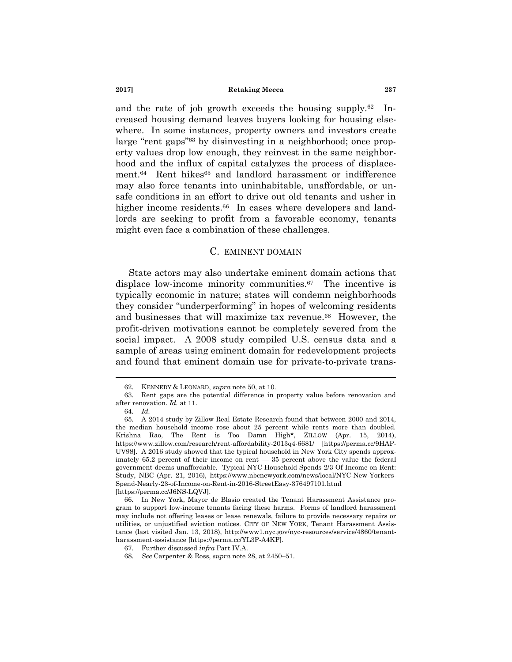and the rate of job growth exceeds the housing supply.<sup>62</sup> Increased housing demand leaves buyers looking for housing elsewhere. In some instances, property owners and investors create large "rent gaps"<sup>63</sup> by disinvesting in a neighborhood; once property values drop low enough, they reinvest in the same neighborhood and the influx of capital catalyzes the process of displacement.<sup>64</sup> Rent hikes<sup>65</sup> and landlord harassment or indifference may also force tenants into uninhabitable, unaffordable, or unsafe conditions in an effort to drive out old tenants and usher in higher income residents.<sup>66</sup> In cases where developers and landlords are seeking to profit from a favorable economy, tenants might even face a combination of these challenges.

### C. EMINENT DOMAIN

State actors may also undertake eminent domain actions that displace low-income minority communities.<sup>67</sup> The incentive is typically economic in nature; states will condemn neighborhoods they consider "underperforming" in hopes of welcoming residents and businesses that will maximize tax revenue.<sup>68</sup> However, the profit-driven motivations cannot be completely severed from the social impact. A 2008 study compiled U.S. census data and a sample of areas using eminent domain for redevelopment projects and found that eminent domain use for private-to-private trans-

<sup>62.</sup> KENNEDY & LEONARD, *supra* note [50,](#page-9-0) at 10.

<sup>63.</sup> Rent gaps are the potential difference in property value before renovation and after renovation. *Id.* at 11.

<sup>64.</sup> *Id.*

<sup>65.</sup> A 2014 study by Zillow Real Estate Research found that between 2000 and 2014, the median household income rose about 25 percent while rents more than doubled. Krishna Rao, The Rent is Too Damn High\*, ZILLOW (Apr. 15, 2014), https://www.zillow.com/research/rent-affordability-2013q4-6681/ [https://perma.cc/9HAP-UV98]. A 2016 study showed that the typical household in New York City spends approximately 65.2 percent of their income on rent — 35 percent above the value the federal government deems unaffordable. Typical NYC Household Spends 2/3 Of Income on Rent: Study, NBC (Apr. 21, 2016), https://www.nbcnewyork.com/news/local/NYC-New-Yorkers-Spend-Nearly-23-of-Income-on-Rent-in-2016-StreetEasy-376497101.html [https://perma.cc/J6NS-LQVJ].

<sup>66.</sup> In New York, Mayor de Blasio created the Tenant Harassment Assistance program to support low-income tenants facing these harms. Forms of landlord harassment may include not offering leases or lease renewals, failure to provide necessary repairs or utilities, or unjustified eviction notices. CITY OF NEW YORK, Tenant Harassment Assistance (last visited Jan. 13, 2018), http://www1.nyc.gov/nyc-resources/service/4860/tenantharassment-assistance [https://perma.cc/YL3P-A4KP].

<sup>67.</sup> Further discussed *infra* Part IV.A.

<sup>68.</sup> *See* Carpenter & Ross, *supra* note [28,](#page-6-1) at 2450–51.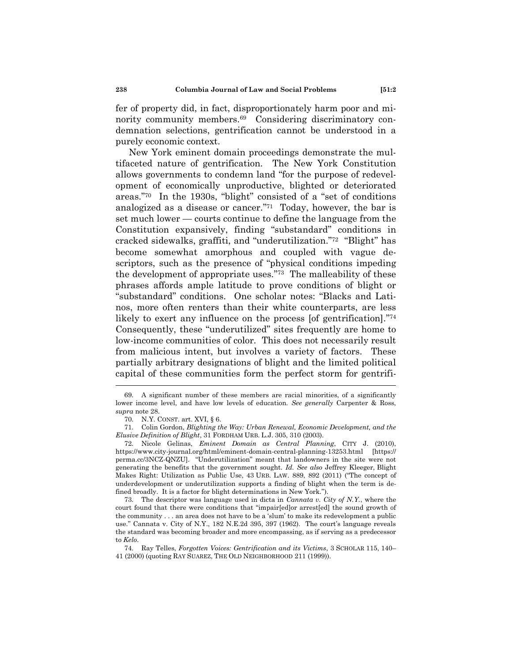fer of property did, in fact, disproportionately harm poor and minority community members.<sup>69</sup> Considering discriminatory condemnation selections, gentrification cannot be understood in a purely economic context.

New York eminent domain proceedings demonstrate the multifaceted nature of gentrification. The New York Constitution allows governments to condemn land "for the purpose of redevelopment of economically unproductive, blighted or deteriorated areas."<sup>70</sup> In the 1930s, "blight" consisted of a "set of conditions analogized as a disease or cancer."<sup>71</sup> Today, however, the bar is set much lower — courts continue to define the language from the Constitution expansively, finding "substandard" conditions in cracked sidewalks, graffiti, and "underutilization."<sup>72</sup> "Blight" has become somewhat amorphous and coupled with vague descriptors, such as the presence of "physical conditions impeding" the development of appropriate uses. $73$  The malleability of these phrases affords ample latitude to prove conditions of blight or ―substandard‖ conditions. One scholar notes: ―Blacks and Latinos, more often renters than their white counterparts, are less likely to exert any influence on the process [of gentrification]. $\frac{774}{6}$ Consequently, these "underutilized" sites frequently are home to low-income communities of color. This does not necessarily result from malicious intent, but involves a variety of factors. These partially arbitrary designations of blight and the limited political capital of these communities form the perfect storm for gentrifi-

<sup>69.</sup> A significant number of these members are racial minorities, of a significantly lower income level, and have low levels of education. *See generally* Carpenter & Ross, *supra* note [28.](#page-6-1)

<sup>70.</sup> N.Y. CONST. art. XVI, § 6.

<sup>71.</sup> Colin Gordon, *Blighting the Way: Urban Renewal, Economic Development, and the Elusive Definition of Blight*, 31 FORDHAM URB. L.J. 305, 310 (2003).

<sup>72.</sup> Nicole Gelinas, *Eminent Domain as Central Planning*, CITY J. (2010), https://www.city-journal.org/html/eminent-domain-central-planning-13253.html [https:// perma.cc/3NCZ-QNZU]. "Underutilization" meant that landowners in the site were not generating the benefits that the government sought. *Id. See also* Jeffrey Kleeger, Blight Makes Right: Utilization as Public Use, 43 URB. LAW. 889, 892 (2011) ("The concept of underdevelopment or underutilization supports a finding of blight when the term is defined broadly. It is a factor for blight determinations in New York.").

<sup>73.</sup> The descriptor was language used in dicta in *Cannata v. City of N.Y.*, where the court found that there were conditions that "impair[ed]or arrest[ed] the sound growth of the community  $\ldots$  an area does not have to be a 'slum' to make its redevelopment a public use." Cannata v. City of N.Y., 182 N.E.2d 395, 397 (1962). The court's language reveals the standard was becoming broader and more encompassing, as if serving as a predecessor to *Kelo*.

<sup>74.</sup> Ray Telles, *Forgotten Voices: Gentrification and its Victims*, 3 SCHOLAR 115, 140– 41 (2000) (quoting RAY SUAREZ, THE OLD NEIGHBORHOOD 211 (1999)).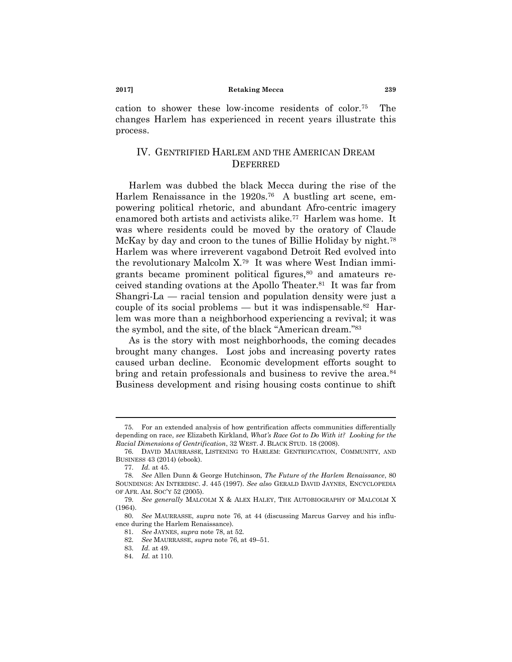cation to shower these low-income residents of color.<sup>75</sup> The changes Harlem has experienced in recent years illustrate this process.

# <span id="page-14-1"></span><span id="page-14-0"></span>IV. GENTRIFIED HARLEM AND THE AMERICAN DREAM **DEFERRED**

Harlem was dubbed the black Mecca during the rise of the Harlem Renaissance in the 1920s.<sup>76</sup> A bustling art scene, empowering political rhetoric, and abundant Afro-centric imagery enamored both artists and activists alike.<sup>77</sup> Harlem was home. It was where residents could be moved by the oratory of Claude McKay by day and croon to the tunes of Billie Holiday by night.<sup>78</sup> Harlem was where irreverent vagabond Detroit Red evolved into the revolutionary Malcolm X.<sup>79</sup> It was where West Indian immigrants became prominent political figures,<sup>80</sup> and amateurs received standing ovations at the Apollo Theater.<sup>81</sup> It was far from Shangri-La — racial tension and population density were just a couple of its social problems — but it was indispensable.<sup>82</sup> Harlem was more than a neighborhood experiencing a revival; it was the symbol, and the site, of the black "American dream."<sup>83</sup>

As is the story with most neighborhoods, the coming decades brought many changes. Lost jobs and increasing poverty rates caused urban decline. Economic development efforts sought to bring and retain professionals and business to revive the area.<sup>84</sup> Business development and rising housing costs continue to shift

<sup>75.</sup> For an extended analysis of how gentrification affects communities differentially depending on race, *see* Elizabeth Kirkland, *What"s Race Got to Do With it? Looking for the Racial Dimensions of Gentrification*, 32 WEST. J. BLACK STUD. 18 (2008).

<sup>76.</sup> DAVID MAURRASSE, LISTENING TO HARLEM: GENTRIFICATION, COMMUNITY, AND BUSINESS 43 (2014) (ebook).

<sup>77.</sup> *Id.* at 45.

<sup>78.</sup> *See* Allen Dunn & George Hutchinson, *The Future of the Harlem Renaissance*, 80 SOUNDINGS: AN INTERDISC. J. 445 (1997). *See also* GERALD DAVID JAYNES, ENCYCLOPEDIA OF AFR. AM. SOC'Y 52 (2005).

<sup>79.</sup> *See generally* MALCOLM X & ALEX HALEY, THE AUTOBIOGRAPHY OF MALCOLM X (1964).

<sup>80.</sup> *See* MAURRASSE, *supra* note [76,](#page-14-0) at 44 (discussing Marcus Garvey and his influence during the Harlem Renaissance).

<sup>81.</sup> *See* JAYNES, *supra* not[e 78,](#page-14-1) at 52.

<sup>82.</sup> *See* MAURRASSE, *supra* not[e 76,](#page-14-0) at 49–51.

<sup>83.</sup> *Id.* at 49.

<sup>84.</sup> *Id.* at 110.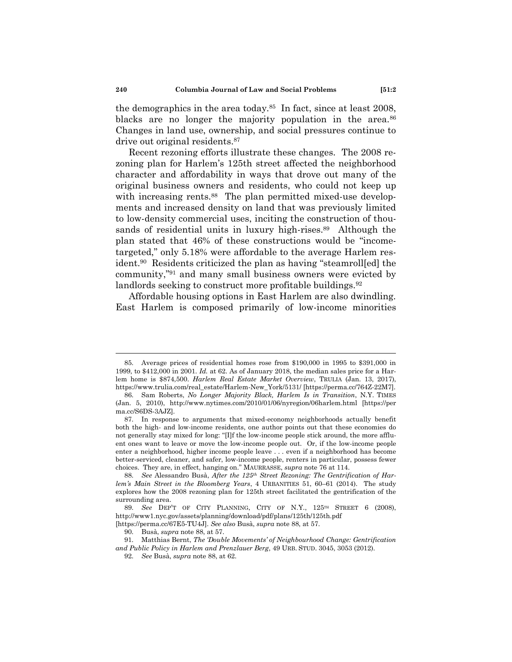<span id="page-15-1"></span>the demographics in the area today.<sup>85</sup> In fact, since at least 2008, blacks are no longer the majority population in the area.<sup>86</sup> Changes in land use, ownership, and social pressures continue to drive out original residents.<sup>87</sup>

<span id="page-15-0"></span>Recent rezoning efforts illustrate these changes. The 2008 rezoning plan for Harlem's 125th street affected the neighborhood character and affordability in ways that drove out many of the original business owners and residents, who could not keep up with increasing rents.<sup>88</sup> The plan permitted mixed-use developments and increased density on land that was previously limited to low-density commercial uses, inciting the construction of thousands of residential units in luxury high-rises.<sup>89</sup> Although the plan stated that 46% of these constructions would be "incometargeted," only 5.18% were affordable to the average Harlem resident.<sup>90</sup> Residents criticized the plan as having "steamroll[ed] the community,"<sup>91</sup> and many small business owners were evicted by landlords seeking to construct more profitable buildings.<sup>92</sup>

Affordable housing options in East Harlem are also dwindling. East Harlem is composed primarily of low-income minorities

<sup>85.</sup> Average prices of residential homes rose from \$190,000 in 1995 to \$391,000 in 1999, to \$412,000 in 2001. *Id.* at 62. As of January 2018, the median sales price for a Harlem home is \$874,500. *Harlem Real Estate Market Overview*, TRULIA (Jan. 13, 2017), https://www.trulia.com/real\_estate/Harlem-New\_York/5131/ [https://perma.cc/764Z-22M7].

<sup>86.</sup> Sam Roberts, *No Longer Majority Black, Harlem Is in Transition*, N.Y. TIMES (Jan. 5, 2010), http://www.nytimes.com/2010/01/06/nyregion/06harlem.html [https://per ma.cc/S6DS-3AJZ].

<sup>87.</sup> In response to arguments that mixed-economy neighborhoods actually benefit both the high- and low-income residents, one author points out that these economies do not generally stay mixed for long: "[I]f the low-income people stick around, the more affluent ones want to leave or move the low-income people out. Or, if the low-income people enter a neighborhood, higher income people leave . . . even if a neighborhood has become better-serviced, cleaner, and safer, low-income people, renters in particular, possess fewer choices. They are, in effect, hanging on.‖ MAURRASSE, *supra* note [76](#page-14-0) at 114.

<sup>88.</sup> *See* Alessandro Busà, *After the 125th Street Rezoning: The Gentrification of Harlem"s Main Street in the Bloomberg Years*, 4 URBANITIES 51, 60–61 (2014). The study explores how the 2008 rezoning plan for 125th street facilitated the gentrification of the surrounding area.

<sup>89.</sup> *See* DEP'T OF CITY PLANNING, CITY OF N.Y., 125TH STREET 6 (2008), http://www1.nyc.gov/assets/planning/download/pdf/plans/125th/125th.pdf

<sup>[</sup>https://perma.cc/67E5-TU4J]. *See also* Busà, *supra* not[e 88,](#page-15-0) at 57.

<sup>90.</sup> Busà, *supra* note [88,](#page-15-0) at 57.

<sup>91.</sup> Matthias Bernt, *The "Double Movements" of Neighbourhood Change: Gentrification and Public Policy in Harlem and Prenzlauer Berg*, 49 URB. STUD. 3045, 3053 (2012).

<sup>92.</sup> *See* Busà, *supra* not[e 88,](#page-15-0) at 62.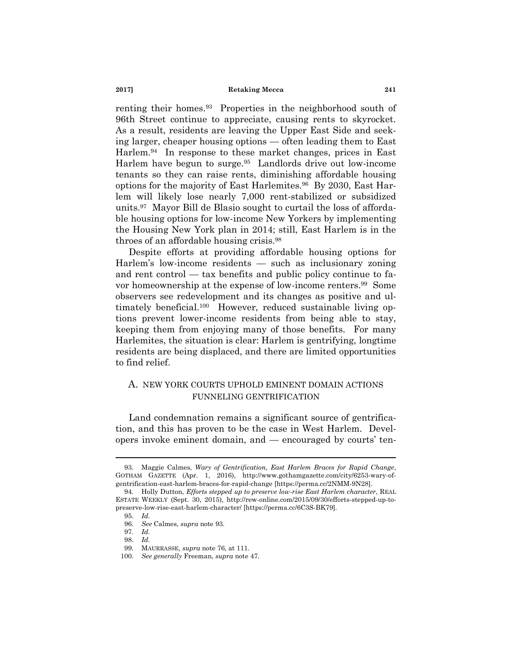<span id="page-16-0"></span>renting their homes.<sup>93</sup> Properties in the neighborhood south of 96th Street continue to appreciate, causing rents to skyrocket. As a result, residents are leaving the Upper East Side and seeking larger, cheaper housing options — often leading them to East Harlem.<sup>94</sup> In response to these market changes, prices in East Harlem have begun to surge.<sup>95</sup> Landlords drive out low-income tenants so they can raise rents, diminishing affordable housing options for the majority of East Harlemites.<sup>96</sup> By 2030, East Harlem will likely lose nearly 7,000 rent-stabilized or subsidized units.<sup>97</sup> Mayor Bill de Blasio sought to curtail the loss of affordable housing options for low-income New Yorkers by implementing the Housing New York plan in 2014; still, East Harlem is in the throes of an affordable housing crisis.<sup>98</sup>

Despite efforts at providing affordable housing options for Harlem's low-income residents — such as inclusionary zoning and rent control — tax benefits and public policy continue to favor homeownership at the expense of low-income renters.<sup>99</sup> Some observers see redevelopment and its changes as positive and ultimately beneficial.<sup>100</sup> However, reduced sustainable living options prevent lower-income residents from being able to stay, keeping them from enjoying many of those benefits. For many Harlemites, the situation is clear: Harlem is gentrifying, longtime residents are being displaced, and there are limited opportunities to find relief.

# A. NEW YORK COURTS UPHOLD EMINENT DOMAIN ACTIONS FUNNELING GENTRIFICATION

Land condemnation remains a significant source of gentrification, and this has proven to be the case in West Harlem. Developers invoke eminent domain, and — encouraged by courts' ten-

<sup>93.</sup> Maggie Calmes, *Wary of Gentrification, East Harlem Braces for Rapid Change*, GOTHAM GAZETTE (Apr. 1, 2016), http://www.gothamgazette.com/city/6253-wary-ofgentrification-east-harlem-braces-for-rapid-change [https://perma.cc/2NMM-9N28].

<sup>94.</sup> Holly Dutton, *Efforts stepped up to preserve low-rise East Harlem character*, REAL ESTATE WEEKLY (Sept. 30, 2015), http://rew-online.com/2015/09/30/efforts-stepped-up-topreserve-low-rise-east-harlem-character/ [https://perma.cc/6C3S-BK79].

<sup>95.</sup> *Id.*

<sup>96.</sup> *See* Calmes, *supra* not[e 93.](#page-16-0)

<sup>97.</sup> *Id.*

<sup>98.</sup> *Id.*

<sup>99.</sup> MAURRASSE, *supra* note [76,](#page-14-0) at 111.

<sup>100.</sup> *See generally* Freeman, *supra* not[e 47.](#page-9-1)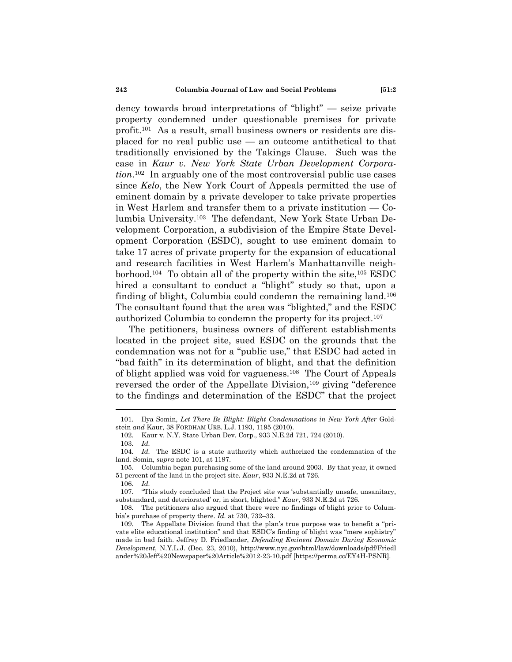<span id="page-17-0"></span>dency towards broad interpretations of "blight" — seize private property condemned under questionable premises for private profit.<sup>101</sup> As a result, small business owners or residents are displaced for no real public use — an outcome antithetical to that traditionally envisioned by the Takings Clause. Such was the case in *Kaur v. New York State Urban Development Corporation*. <sup>102</sup> In arguably one of the most controversial public use cases since *Kelo*, the New York Court of Appeals permitted the use of eminent domain by a private developer to take private properties in West Harlem and transfer them to a private institution — Columbia University.<sup>103</sup> The defendant, New York State Urban Development Corporation, a subdivision of the Empire State Development Corporation (ESDC), sought to use eminent domain to take 17 acres of private property for the expansion of educational and research facilities in West Harlem's Manhattanville neighborhood.<sup>104</sup> To obtain all of the property within the site,<sup>105</sup> ESDC hired a consultant to conduct a "blight" study so that, upon a finding of blight, Columbia could condemn the remaining land.<sup>106</sup> The consultant found that the area was "blighted," and the ESDC authorized Columbia to condemn the property for its project.<sup>107</sup>

The petitioners, business owners of different establishments located in the project site, sued ESDC on the grounds that the condemnation was not for a "public use," that ESDC had acted in "bad faith" in its determination of blight, and that the definition of blight applied was void for vagueness.<sup>108</sup> The Court of Appeals reversed the order of the Appellate Division,<sup>109</sup> giving "deference" to the findings and determination of the ESDC" that the project

<sup>101.</sup> Ilya Somin, *Let There Be Blight: Blight Condemnations in New York After* Goldstein *and* Kaur, 38 FORDHAM URB. L.J. 1193, 1195 (2010).

<sup>102.</sup> Kaur v. N.Y. State Urban Dev. Corp., 933 N.E.2d 721, 724 (2010).

<sup>103.</sup> *Id.*

<sup>104.</sup> *Id.* The ESDC is a state authority which authorized the condemnation of the land. Somin, *supra* note [101,](#page-17-0) at 1197.

<sup>105.</sup> Columbia began purchasing some of the land around 2003. By that year, it owned 51 percent of the land in the project site. *Kaur*, 933 N.E.2d at 726.

<sup>106.</sup> *Id.*

<sup>107. &</sup>quot;This study concluded that the Project site was 'substantially unsafe, unsanitary, substandard, and deteriorated' or, in short, blighted." *Kaur*, 933 N.E.2d at 726.

<sup>108.</sup> The petitioners also argued that there were no findings of blight prior to Columbia's purchase of property there. *Id.* at 730, 732–33.

<sup>109.</sup> The Appellate Division found that the plan's true purpose was to benefit a "private elite educational institution" and that ESDC's finding of blight was "mere sophistry" made in bad faith. Jeffrey D. Friedlander, *Defending Eminent Domain During Economic Development*, N.Y.L.J. (Dec. 23, 2010), http://www.nyc.gov/html/law/downloads/pdf/Friedl ander%20Jeff%20Newspaper%20Article%2012-23-10.pdf [https://perma.cc/EY4H-PSNR].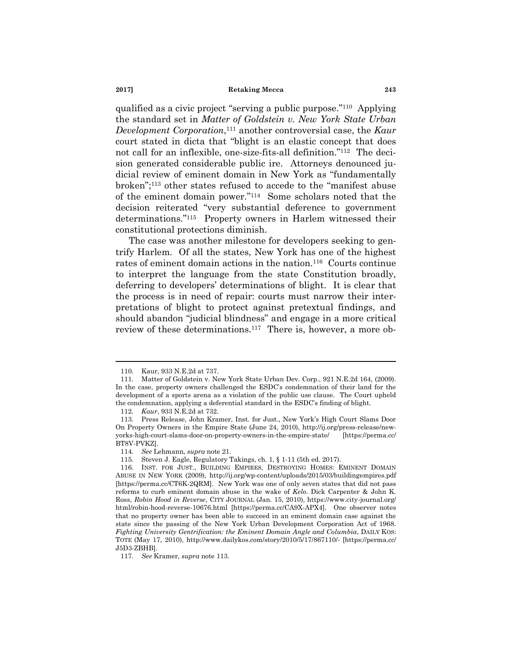qualified as a civic project "serving a public purpose."<sup>110</sup> Applying the standard set in *Matter of Goldstein v. New York State Urban Development Corporation*, <sup>111</sup> another controversial case, the *Kaur* court stated in dicta that "blight is an elastic concept that does not call for an inflexible, one-size-fits-all definition."<sup>112</sup> The decision generated considerable public ire. Attorneys denounced judicial review of eminent domain in New York as "fundamentally broken";<sup>113</sup> other states refused to accede to the "manifest abuse of the eminent domain power."<sup>114</sup> Some scholars noted that the decision reiterated "very substantial deference to government determinations."<sup>115</sup> Property owners in Harlem witnessed their constitutional protections diminish.

<span id="page-18-0"></span>The case was another milestone for developers seeking to gentrify Harlem. Of all the states, New York has one of the highest rates of eminent domain actions in the nation.<sup>116</sup> Courts continue to interpret the language from the state Constitution broadly, deferring to developers' determinations of blight. It is clear that the process is in need of repair: courts must narrow their interpretations of blight to protect against pretextual findings, and should abandon "judicial blindness" and engage in a more critical review of these determinations.<sup>117</sup> There is, however, a more ob-

<sup>110.</sup> Kaur, 933 N.E.2d at 737.

<sup>111.</sup> Matter of Goldstein v. New York State Urban Dev. Corp., 921 N.E.2d 164, (2009). In the case, property owners challenged the ESDC's condemnation of their land for the development of a sports arena as a violation of the public use clause. The Court upheld the condemnation, applying a deferential standard in the ESDC's finding of blight.

<sup>112.</sup> *Kaur*, 933 N.E.2d at 732.

<sup>113.</sup> Press Release, John Kramer, Inst. for Just., New York's High Court Slams Door On Property Owners in the Empire State (June 24, 2010), http://ij.org/press-release/newyorks-high-court-slams-door-on-property-owners-in-the-empire-state/ [https://perma.cc/ BT8V-PVKZ].

<sup>114.</sup> *See* Lehmann, *supra* not[e 21.](#page-4-1)

<sup>115.</sup> Steven J. Eagle, Regulatory Takings, ch. 1, § 1-11 (5th ed. 2017).

<sup>116.</sup> INST. FOR JUST., BUILDING EMPIRES, DESTROYING HOMES: EMINENT DOMAIN ABUSE IN NEW YORK (2009), http://ij.org/wp-content/uploads/2015/03/buildingempires.pdf [https://perma.cc/CT6K-2QRM]. New York was one of only seven states that did not pass reforms to curb eminent domain abuse in the wake of *Kelo*. Dick Carpenter & John K. Ross, *Robin Hood in Reverse*, CITY JOURNAL (Jan. 15, 2010), https://www.city-journal.org/ html/robin-hood-reverse-10676.html [https://perma.cc/CA9X-APX4]. One observer notes that no property owner has been able to succeed in an eminent domain case against the state since the passing of the New York Urban Development Corporation Act of 1968. *Fighting University Gentrification: the Eminent Domain Angle and Columbia*, DAILY KOS: TOTE (May 17, 2010), http://www.dailykos.com/story/2010/5/17/867110/- [https://perma.cc/ J5D3-ZBHB].

<sup>117.</sup> *See* Kramer, *supra* note [113.](#page-18-0)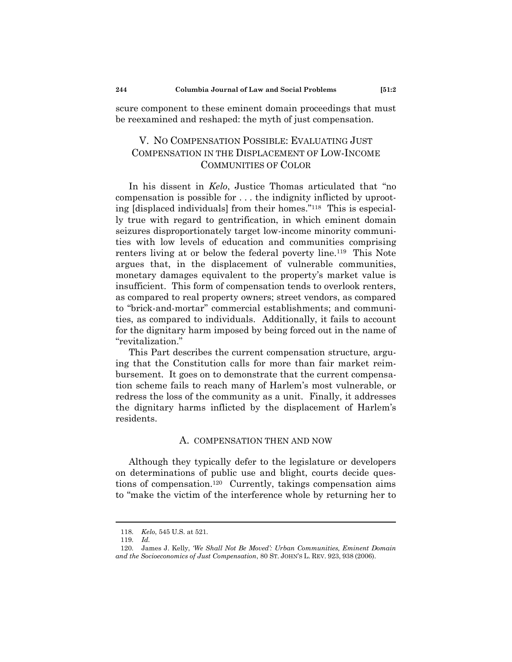scure component to these eminent domain proceedings that must be reexamined and reshaped: the myth of just compensation.

# V. NO COMPENSATION POSSIBLE: EVALUATING JUST COMPENSATION IN THE DISPLACEMENT OF LOW-INCOME COMMUNITIES OF COLOR

In his dissent in *Kelo*, Justice Thomas articulated that "no compensation is possible for . . . the indignity inflicted by uprooting [displaced individuals] from their homes."<sup>118</sup> This is especially true with regard to gentrification, in which eminent domain seizures disproportionately target low-income minority communities with low levels of education and communities comprising renters living at or below the federal poverty line.<sup>119</sup> This Note argues that, in the displacement of vulnerable communities, monetary damages equivalent to the property's market value is insufficient. This form of compensation tends to overlook renters, as compared to real property owners; street vendors, as compared to "brick-and-mortar" commercial establishments; and communities, as compared to individuals. Additionally, it fails to account for the dignitary harm imposed by being forced out in the name of "revitalization."

This Part describes the current compensation structure, arguing that the Constitution calls for more than fair market reimbursement. It goes on to demonstrate that the current compensation scheme fails to reach many of Harlem's most vulnerable, or redress the loss of the community as a unit. Finally, it addresses the dignitary harms inflicted by the displacement of Harlem's residents.

### <span id="page-19-0"></span>A. COMPENSATION THEN AND NOW

Although they typically defer to the legislature or developers on determinations of public use and blight, courts decide questions of compensation.<sup>120</sup> Currently, takings compensation aims to "make the victim of the interference whole by returning her to

<sup>118.</sup> *Kelo*, 545 U.S. at 521.

<sup>119.</sup> *Id.*

<sup>120.</sup> James J. Kelly, *"We Shall Not Be Moved": Urban Communities, Eminent Domain and the Socioeconomics of Just Compensation*, 80 ST. JOHN'S L. REV. 923, 938 (2006).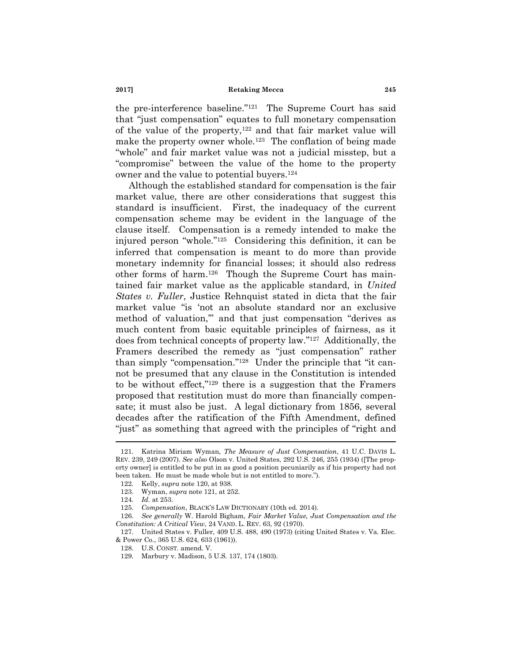the pre-interference baseline."<sup>121</sup> The Supreme Court has said that "just compensation" equates to full monetary compensation of the value of the property, $122$  and that fair market value will make the property owner whole.<sup>123</sup> The conflation of being made ―whole‖ and fair market value was not a judicial misstep, but a ―compromise‖ between the value of the home to the property owner and the value to potential buyers.<sup>124</sup>

Although the established standard for compensation is the fair market value, there are other considerations that suggest this standard is insufficient. First, the inadequacy of the current compensation scheme may be evident in the language of the clause itself. Compensation is a remedy intended to make the injured person "whole."<sup>125</sup> Considering this definition, it can be inferred that compensation is meant to do more than provide monetary indemnity for financial losses; it should also redress other forms of harm.<sup>126</sup> Though the Supreme Court has maintained fair market value as the applicable standard, in *United States v. Fuller*, Justice Rehnquist stated in dicta that the fair market value "is 'not an absolute standard nor an exclusive method of valuation," and that just compensation "derives as much content from basic equitable principles of fairness, as it does from technical concepts of property law."<sup>127</sup> Additionally, the Framers described the remedy as "just compensation" rather than simply "compensation."<sup>128</sup> Under the principle that "it cannot be presumed that any clause in the Constitution is intended to be without effect," $129$  there is a suggestion that the Framers proposed that restitution must do more than financially compensate; it must also be just. A legal dictionary from 1856, several decades after the ratification of the Fifth Amendment, defined "just" as something that agreed with the principles of "right and

127. United States v. Fuller, 409 U.S. 488, 490 (1973) (citing United States v. Va. Elec. & Power Co., 365 U.S. 624, 633 (1961)).

<span id="page-20-0"></span>

<sup>121.</sup> Katrina Miriam Wyman, *The Measure of Just Compensation*, 41 U.C. DAVIS L. REV. 239, 249 (2007). *See also* Olson v. United States, 292 U.S. 246, 255 (1934) ([The property owner] is entitled to be put in as good a position pecuniarily as if his property had not been taken. He must be made whole but is not entitled to more.").

<sup>122.</sup> Kelly, *supra* note [120,](#page-19-0) at 938.

<sup>123.</sup> Wyman, *supra* note [121,](#page-20-0) at 252.

<sup>124.</sup> *Id.* at 253.

<sup>125.</sup> *Compensation*, BLACK'S LAW DICTIONARY (10th ed. 2014).

<sup>126.</sup> *See generally* W. Harold Bigham, *Fair Market Value, Just Compensation and the Constitution: A Critical View*, 24 VAND. L. REV. 63, 92 (1970).

<sup>128.</sup> U.S. CONST. amend. V.

<sup>129.</sup> Marbury v. Madison, 5 U.S. 137, 174 (1803).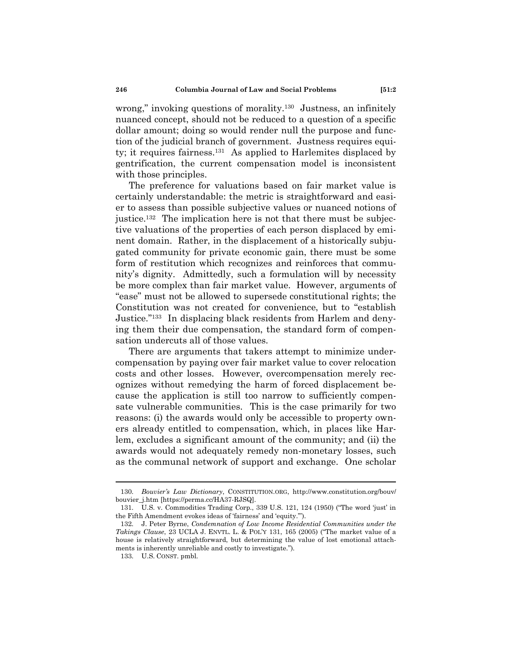wrong," invoking questions of morality. $130$  Justness, an infinitely nuanced concept, should not be reduced to a question of a specific dollar amount; doing so would render null the purpose and function of the judicial branch of government. Justness requires equity; it requires fairness.<sup>131</sup> As applied to Harlemites displaced by gentrification, the current compensation model is inconsistent with those principles.

The preference for valuations based on fair market value is certainly understandable: the metric is straightforward and easier to assess than possible subjective values or nuanced notions of justice.<sup>132</sup> The implication here is not that there must be subjective valuations of the properties of each person displaced by eminent domain. Rather, in the displacement of a historically subjugated community for private economic gain, there must be some form of restitution which recognizes and reinforces that community's dignity. Admittedly, such a formulation will by necessity be more complex than fair market value. However, arguments of "ease" must not be allowed to supersede constitutional rights; the Constitution was not created for convenience, but to "establish Justice."<sup>133</sup> In displacing black residents from Harlem and denying them their due compensation, the standard form of compensation undercuts all of those values.

There are arguments that takers attempt to minimize undercompensation by paying over fair market value to cover relocation costs and other losses. However, overcompensation merely recognizes without remedying the harm of forced displacement because the application is still too narrow to sufficiently compensate vulnerable communities. This is the case primarily for two reasons: (i) the awards would only be accessible to property owners already entitled to compensation, which, in places like Harlem, excludes a significant amount of the community; and (ii) the awards would not adequately remedy non-monetary losses, such as the communal network of support and exchange. One scholar

<sup>130.</sup> *Bouvier"s Law Dictionary*, CONSTITUTION.ORG, http://www.constitution.org/bouv/ bouvier\_j.htm [https://perma.cc/HA37-RJSQ].

<sup>131.</sup> U.S. v. Commodities Trading Corp., 339 U.S. 121, 124 (1950) ("The word 'just' in the Fifth Amendment evokes ideas of 'fairness' and 'equity."").

<sup>132.</sup> J. Peter Byrne, *Condemnation of Low Income Residential Communities under the Takings Clause*, 23 UCLA J. ENVTL. L. & POL'Y 131, 165 (2005) ("The market value of a house is relatively straightforward, but determining the value of lost emotional attachments is inherently unreliable and costly to investigate.").

<sup>133.</sup> U.S. CONST. pmbl.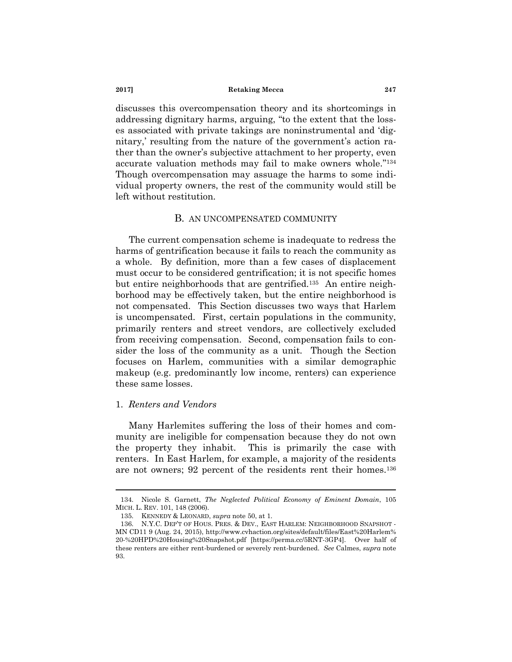discusses this overcompensation theory and its shortcomings in addressing dignitary harms, arguing, "to the extent that the losses associated with private takings are noninstrumental and 'dignitary,' resulting from the nature of the government's action rather than the owner's subjective attachment to her property, even accurate valuation methods may fail to make owners whole."134 Though overcompensation may assuage the harms to some individual property owners, the rest of the community would still be left without restitution.

# <span id="page-22-0"></span>B. AN UNCOMPENSATED COMMUNITY

The current compensation scheme is inadequate to redress the harms of gentrification because it fails to reach the community as a whole. By definition, more than a few cases of displacement must occur to be considered gentrification; it is not specific homes but entire neighborhoods that are gentrified.<sup>135</sup> An entire neighborhood may be effectively taken, but the entire neighborhood is not compensated. This Section discusses two ways that Harlem is uncompensated. First, certain populations in the community, primarily renters and street vendors, are collectively excluded from receiving compensation. Second, compensation fails to consider the loss of the community as a unit. Though the Section focuses on Harlem, communities with a similar demographic makeup (e.g. predominantly low income, renters) can experience these same losses.

# 1. *Renters and Vendors*

Many Harlemites suffering the loss of their homes and community are ineligible for compensation because they do not own the property they inhabit. This is primarily the case with renters. In East Harlem, for example, a majority of the residents are not owners; 92 percent of the residents rent their homes.<sup>136</sup>

<sup>134.</sup> Nicole S. Garnett, *The Neglected Political Economy of Eminent Domain*, 105 MICH. L. REV. 101, 148 (2006).

<sup>135.</sup> KENNEDY & LEONARD, *supra* note [50,](#page-9-0) at 1.

<sup>136.</sup> N.Y.C. DEP'T OF HOUS. PRES. & DEV., EAST HARLEM: NEIGHBORHOOD SNAPSHOT - MN CD11 9 (Aug. 24, 2015), http://www.cvhaction.org/sites/default/files/East%20Harlem% 20-%20HPD%20Housing%20Snapshot.pdf [https://perma.cc/5RNT-3GP4]. Over half of these renters are either rent-burdened or severely rent-burdened. *See* Calmes, *supra* note [93.](#page-16-0)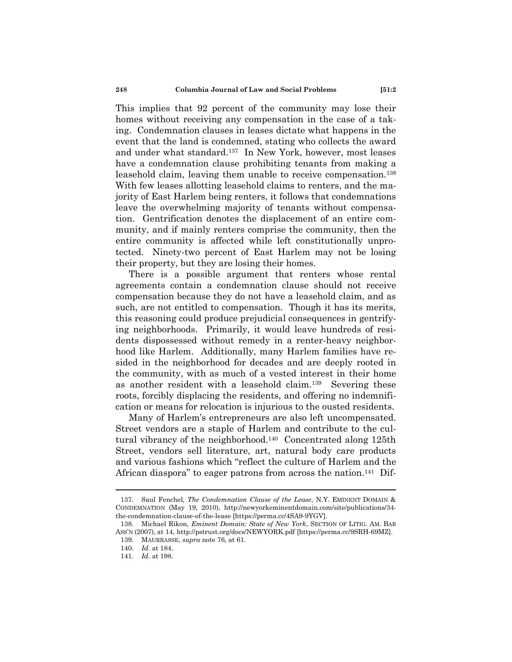This implies that 92 percent of the community may lose their homes without receiving any compensation in the case of a taking. Condemnation clauses in leases dictate what happens in the event that the land is condemned, stating who collects the award and under what standard.<sup>137</sup> In New York, however, most leases have a condemnation clause prohibiting tenants from making a leasehold claim, leaving them unable to receive compensation.<sup>138</sup> With few leases allotting leasehold claims to renters, and the majority of East Harlem being renters, it follows that condemnations leave the overwhelming majority of tenants without compensation. Gentrification denotes the displacement of an entire community, and if mainly renters comprise the community, then the entire community is affected while left constitutionally unprotected. Ninety-two percent of East Harlem may not be losing their property, but they are losing their homes.

There is a possible argument that renters whose rental agreements contain a condemnation clause should not receive compensation because they do not have a leasehold claim, and as such, are not entitled to compensation. Though it has its merits, this reasoning could produce prejudicial consequences in gentrifying neighborhoods. Primarily, it would leave hundreds of residents dispossessed without remedy in a renter-heavy neighborhood like Harlem. Additionally, many Harlem families have resided in the neighborhood for decades and are deeply rooted in the community, with as much of a vested interest in their home as another resident with a leasehold claim.<sup>139</sup> Severing these roots, forcibly displacing the residents, and offering no indemnification or means for relocation is injurious to the ousted residents.

Many of Harlem's entrepreneurs are also left uncompensated. Street vendors are a staple of Harlem and contribute to the cultural vibrancy of the neighborhood.<sup>140</sup> Concentrated along 125th Street, vendors sell literature, art, natural body care products and various fashions which "reflect the culture of Harlem and the African diaspora" to eager patrons from across the nation.<sup>141</sup> Dif-

<sup>137.</sup> Saul Fenchel, *The Condemnation Clause of the Lease*, N.Y. EMINENT DOMAIN & CONDEMNATION (May 19, 2010), http://newyorkeminentdomain.com/site/publications/34 the-condemnation-clause-of-the-lease [https://perma.cc/4SA9-9YGV].

<sup>138.</sup> Michael Rikon, *Eminent Domain: State of New York*, SECTION OF LITIG. AM. BAR ASS'N (2007), at 14, http://pstrust.org/docs/NEWYORK.pdf [https://perma.cc/9SRH-69MZ].

<sup>139.</sup> MAURRASSE, *supra* note [76,](#page-14-0) at 61.

<sup>140.</sup> *Id.* at 184.

<sup>141.</sup> *Id.* at 198.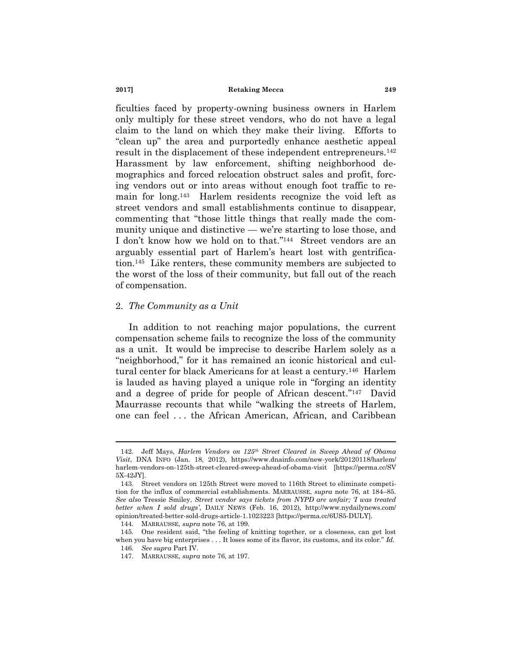ficulties faced by property-owning business owners in Harlem only multiply for these street vendors, who do not have a legal claim to the land on which they make their living. Efforts to ―clean up‖ the area and purportedly enhance aesthetic appeal result in the displacement of these independent entrepreneurs.<sup>142</sup> Harassment by law enforcement, shifting neighborhood demographics and forced relocation obstruct sales and profit, forcing vendors out or into areas without enough foot traffic to remain for long.<sup>143</sup> Harlem residents recognize the void left as street vendors and small establishments continue to disappear, commenting that "those little things that really made the community unique and distinctive — we're starting to lose those, and I don't know how we hold on to that."<sup>144</sup> Street vendors are an arguably essential part of Harlem's heart lost with gentrification.<sup>145</sup> Like renters, these community members are subjected to the worst of the loss of their community, but fall out of the reach of compensation.

#### 2. *The Community as a Unit*

In addition to not reaching major populations, the current compensation scheme fails to recognize the loss of the community as a unit. It would be imprecise to describe Harlem solely as a "neighborhood," for it has remained an iconic historical and cultural center for black Americans for at least a century.<sup>146</sup> Harlem is lauded as having played a unique role in "forging an identity" and a degree of pride for people of African descent."<sup>147</sup> David Maurrasse recounts that while "walking the streets of Harlem, one can feel . . . the African American, African, and Caribbean

<sup>142.</sup> Jeff Mays, *Harlem Vendors on 125th Street Cleared in Sweep Ahead of Obama Visit*, DNA INFO (Jan. 18, 2012), https://www.dnainfo.com/new-york/20120118/harlem/ harlem-vendors-on-125th-street-cleared-sweep-ahead-of-obama-visit [https://perma.cc/SV 5X-42JY].

<sup>143.</sup> Street vendors on 125th Street were moved to 116th Street to eliminate competition for the influx of commercial establishments. MARRAUSSE, *supra* note [76,](#page-14-0) at 184–85. *See also* Tressie Smiley, *Street vendor says tickets from NYPD are unfair; "I was treated better when I sold drugs"*, DAILY NEWS (Feb. 16, 2012), http://www.nydailynews.com/ opinion/treated-better-sold-drugs-article-1.1023223 [https://perma.cc/6US5-DULY].

<sup>144.</sup> MARRAUSSE, *supra* note [76,](#page-14-0) at 199.

<sup>145.</sup> One resident said, "the feeling of knitting together, or a closeness, can get lost when you have big enterprises  $\dots$  It loses some of its flavor, its customs, and its color." Id. 146. *See supra* Part IV.

<sup>147.</sup> MARRAUSSE, *supra* note [76,](#page-14-0) at 197.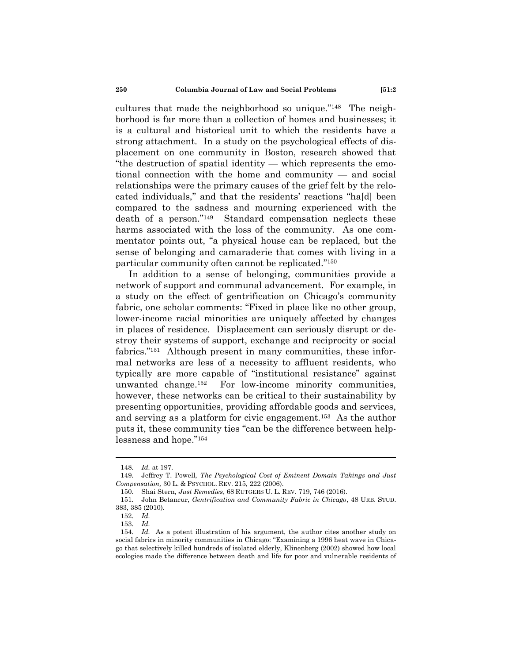cultures that made the neighborhood so unique."<sup>148</sup> The neighborhood is far more than a collection of homes and businesses; it is a cultural and historical unit to which the residents have a strong attachment. In a study on the psychological effects of displacement on one community in Boston, research showed that ―the destruction of spatial identity — which represents the emotional connection with the home and community — and social relationships were the primary causes of the grief felt by the relocated individuals," and that the residents' reactions "ha[d] been compared to the sadness and mourning experienced with the death of a person."<sup>149</sup> Standard compensation neglects these harms associated with the loss of the community. As one commentator points out, "a physical house can be replaced, but the sense of belonging and camaraderie that comes with living in a particular community often cannot be replicated."<sup>150</sup>

In addition to a sense of belonging, communities provide a network of support and communal advancement. For example, in a study on the effect of gentrification on Chicago's community fabric, one scholar comments: "Fixed in place like no other group, lower-income racial minorities are uniquely affected by changes in places of residence. Displacement can seriously disrupt or destroy their systems of support, exchange and reciprocity or social fabrics."<sup>151</sup> Although present in many communities, these informal networks are less of a necessity to affluent residents, who typically are more capable of "institutional resistance" against unwanted change.<sup>152</sup> For low-income minority communities, however, these networks can be critical to their sustainability by presenting opportunities, providing affordable goods and services, and serving as a platform for civic engagement.<sup>153</sup> As the author puts it, these community ties "can be the difference between helplessness and hope."154

<sup>148.</sup> *Id.* at 197.

<sup>149.</sup> Jeffrey T. Powell, *The Psychological Cost of Eminent Domain Takings and Just Compensation,* 30 L. & PSYCHOL. REV. 215, 222 (2006).

<sup>150.</sup> Shai Stern, *Just Remedies*, 68 RUTGERS U. L. REV. 719, 746 (2016).

<sup>151.</sup> John Betancur, *Gentrification and Community Fabric in Chicago*, 48 URB. STUD. 383, 385 (2010).

<sup>152.</sup> *Id.*

<sup>153.</sup> *Id.*

<sup>154.</sup> *Id.* As a potent illustration of his argument, the author cites another study on social fabrics in minority communities in Chicago: "Examining a 1996 heat wave in Chicago that selectively killed hundreds of isolated elderly, Klinenberg (2002) showed how local ecologies made the difference between death and life for poor and vulnerable residents of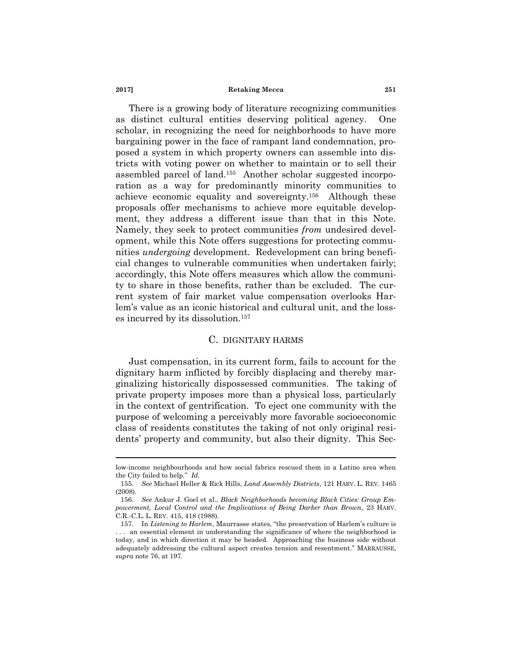There is a growing body of literature recognizing communities as distinct cultural entities deserving political agency. One scholar, in recognizing the need for neighborhoods to have more bargaining power in the face of rampant land condemnation, proposed a system in which property owners can assemble into districts with voting power on whether to maintain or to sell their assembled parcel of land.<sup>155</sup> Another scholar suggested incorporation as a way for predominantly minority communities to achieve economic equality and sovereignty.<sup>156</sup> Although these proposals offer mechanisms to achieve more equitable development, they address a different issue than that in this Note. Namely, they seek to protect communities *from* undesired development, while this Note offers suggestions for protecting communities *undergoing* development. Redevelopment can bring beneficial changes to vulnerable communities when undertaken fairly; accordingly, this Note offers measures which allow the community to share in those benefits, rather than be excluded. The current system of fair market value compensation overlooks Harlem's value as an iconic historical and cultural unit, and the losses incurred by its dissolution.<sup>157</sup>

# C. DIGNITARY HARMS

Just compensation, in its current form, fails to account for the dignitary harm inflicted by forcibly displacing and thereby marginalizing historically dispossessed communities. The taking of private property imposes more than a physical loss, particularly in the context of gentrification. To eject one community with the purpose of welcoming a perceivably more favorable socioeconomic class of residents constitutes the taking of not only original residents' property and community, but also their dignity. This Sec-

low-income neighbourhoods and how social fabrics rescued them in a Latino area when the City failed to help." *Id.* 

<sup>155.</sup> *See* Michael Heller & Rick Hills, *Land Assembly Districts*, 121 HARV. L. REV. 1465 (2008).

<sup>156.</sup> *See* Ankur J. Goel et al., *Black Neighborhoods becoming Black Cities: Group Empowerment, Local Control and the Implications of Being Darker than Brown*, 23 HARV. C.R.-C.L. L. REV. 415, 418 (1988).

<sup>157.</sup> In *Listening to Harlem*, Maurrasse states, "the preservation of Harlem's culture is . . . an essential element in understanding the significance of where the neighborhood is today, and in which direction it may be headed. Approaching the business side without adequately addressing the cultural aspect creates tension and resentment." MARRAUSSE, *supra* note [76,](#page-14-0) at 197.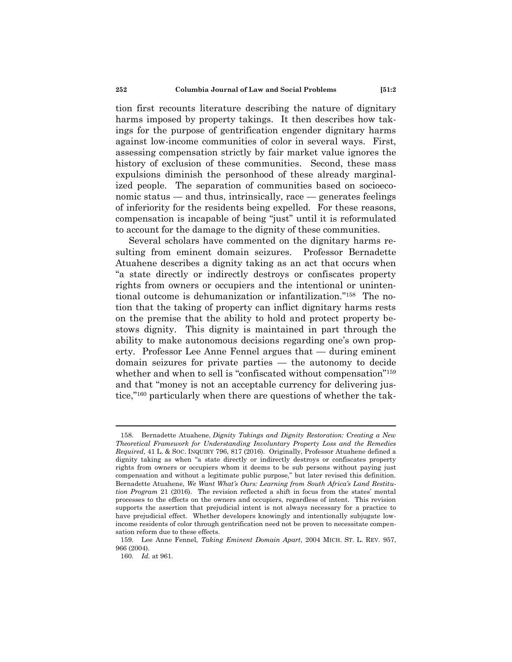tion first recounts literature describing the nature of dignitary harms imposed by property takings. It then describes how takings for the purpose of gentrification engender dignitary harms against low-income communities of color in several ways. First, assessing compensation strictly by fair market value ignores the history of exclusion of these communities. Second, these mass expulsions diminish the personhood of these already marginalized people. The separation of communities based on socioeconomic status — and thus, intrinsically, race — generates feelings of inferiority for the residents being expelled. For these reasons, compensation is incapable of being "just" until it is reformulated to account for the damage to the dignity of these communities.

Several scholars have commented on the dignitary harms resulting from eminent domain seizures. Professor Bernadette Atuahene describes a dignity taking as an act that occurs when ―a state directly or indirectly destroys or confiscates property rights from owners or occupiers and the intentional or unintentional outcome is dehumanization or infantilization."<sup>158</sup> The notion that the taking of property can inflict dignitary harms rests on the premise that the ability to hold and protect property bestows dignity. This dignity is maintained in part through the ability to make autonomous decisions regarding one's own property. Professor Lee Anne Fennel argues that — during eminent domain seizures for private parties — the autonomy to decide whether and when to sell is "confiscated without compensation"<sup>159</sup> and that "money is not an acceptable currency for delivering justice,"<sup>160</sup> particularly when there are questions of whether the tak-

<sup>158.</sup> Bernadette Atuahene, *Dignity Takings and Dignity Restoration: Creating a New Theoretical Framework for Understanding Involuntary Property Loss and the Remedies Required*, 41 L. & SOC. INQUIRY 796, 817 (2016). Originally, Professor Atuahene defined a dignity taking as when "a state directly or indirectly destroys or confiscates property rights from owners or occupiers whom it deems to be sub persons without paying just compensation and without a legitimate public purpose," but later revised this definition. Bernadette Atuahene, *We Want What"s Ours: Learning from South Africa"s Land Restitution Program* 21 (2016). The revision reflected a shift in focus from the states' mental processes to the effects on the owners and occupiers, regardless of intent. This revision supports the assertion that prejudicial intent is not always necessary for a practice to have prejudicial effect. Whether developers knowingly and intentionally subjugate lowincome residents of color through gentrification need not be proven to necessitate compensation reform due to these effects.

<sup>159.</sup> Lee Anne Fennel, *Taking Eminent Domain Apart*, 2004 MICH. ST. L. REV. 957, 966 (2004).

<sup>160.</sup> *Id.* at 961.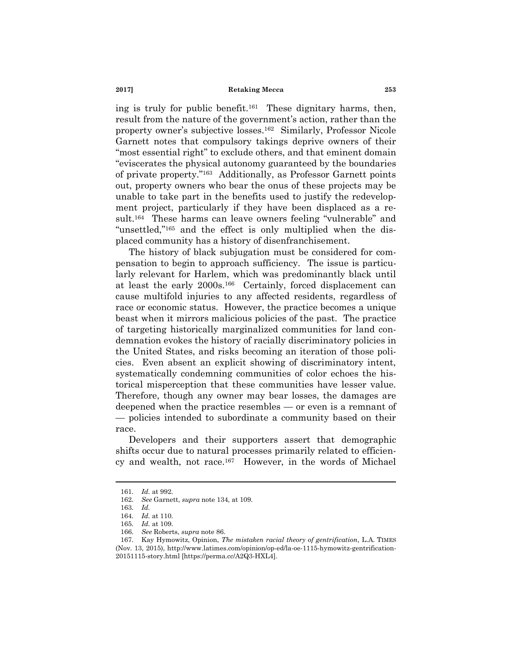ing is truly for public benefit.<sup>161</sup> These dignitary harms, then, result from the nature of the government's action, rather than the property owner's subjective losses.<sup>162</sup> Similarly, Professor Nicole Garnett notes that compulsory takings deprive owners of their "most essential right" to exclude others, and that eminent domain ―eviscerates the physical autonomy guaranteed by the boundaries of private property."<sup>163</sup> Additionally, as Professor Garnett points out, property owners who bear the onus of these projects may be unable to take part in the benefits used to justify the redevelopment project, particularly if they have been displaced as a result.<sup>164</sup> These harms can leave owners feeling "vulnerable" and "unsettled,"<sup>165</sup> and the effect is only multiplied when the displaced community has a history of disenfranchisement.

The history of black subjugation must be considered for compensation to begin to approach sufficiency. The issue is particularly relevant for Harlem, which was predominantly black until at least the early 2000s.<sup>166</sup> Certainly, forced displacement can cause multifold injuries to any affected residents, regardless of race or economic status. However, the practice becomes a unique beast when it mirrors malicious policies of the past. The practice of targeting historically marginalized communities for land condemnation evokes the history of racially discriminatory policies in the United States, and risks becoming an iteration of those policies. Even absent an explicit showing of discriminatory intent, systematically condemning communities of color echoes the historical misperception that these communities have lesser value. Therefore, though any owner may bear losses, the damages are deepened when the practice resembles — or even is a remnant of — policies intended to subordinate a community based on their race.

Developers and their supporters assert that demographic shifts occur due to natural processes primarily related to efficiency and wealth, not race.<sup>167</sup> However, in the words of Michael

<sup>161.</sup> *Id.* at 992.

<sup>162.</sup> *See* Garnett, *supra* not[e 134,](#page-22-0) at 109.

<sup>163.</sup> *Id.*

<sup>164.</sup> *Id.* at 110.

<sup>165.</sup> *Id.* at 109.

<sup>166.</sup> *See* Roberts, *supra* not[e 86.](#page-15-1)

<sup>167.</sup> Kay Hymowitz, Opinion, *The mistaken racial theory of gentrification*, L.A. TIMES (Nov. 13, 2015), http://www.latimes.com/opinion/op-ed/la-oe-1115-hymowitz-gentrification-20151115-story.html [https://perma.cc/A2Q3-HXL4].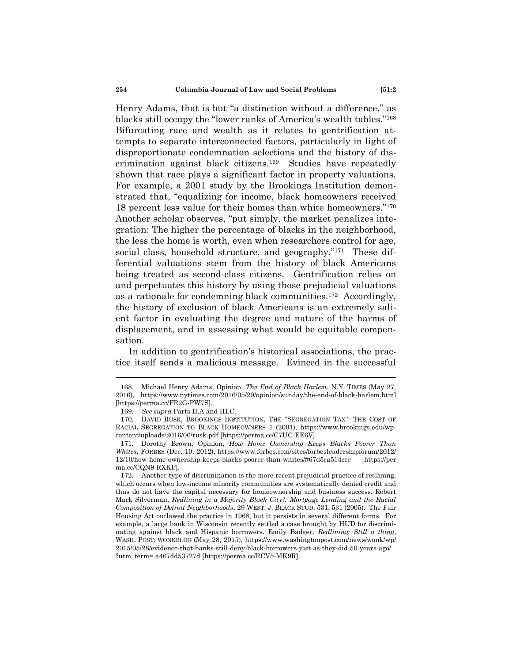Henry Adams, that is but "a distinction without a difference," as blacks still occupy the "lower ranks of America's wealth tables."<sup>168</sup> Bifurcating race and wealth as it relates to gentrification attempts to separate interconnected factors, particularly in light of disproportionate condemnation selections and the history of discrimination against black citizens.<sup>169</sup> Studies have repeatedly shown that race plays a significant factor in property valuations. For example, a 2001 study by the Brookings Institution demonstrated that, "equalizing for income, black homeowners received 18 percent less value for their homes than white homeowners."<sup>170</sup> Another scholar observes, "put simply, the market penalizes integration: The higher the percentage of blacks in the neighborhood, the less the home is worth, even when researchers control for age, social class, household structure, and geography."<sup>171</sup> These differential valuations stem from the history of black Americans being treated as second-class citizens. Gentrification relies on and perpetuates this history by using those prejudicial valuations as a rationale for condemning black communities.<sup>172</sup> Accordingly, the history of exclusion of black Americans is an extremely salient factor in evaluating the degree and nature of the harms of displacement, and in assessing what would be equitable compensation.

In addition to gentrification's historical associations, the practice itself sends a malicious message. Evinced in the successful

<span id="page-29-0"></span>

<sup>168.</sup> Michael Henry Adams, Opinion, *The End of Black Harlem*, N.Y. TIMES (May 27, 2016), https://www.nytimes.com/2016/05/29/opinion/sunday/the-end-of-black-harlem.html [https://perma.cc/FR2G-PW7S].

<sup>169.</sup> *See supra* Parts II.A and III.C.

<sup>170.</sup> DAVID RUSK, BROOKINGS INSTITUTION, THE "SEGREGATION TAX": THE COST OF RACIAL SEGREGATION TO BLACK HOMEOWNERS 1 (2001), https://www.brookings.edu/wpcontent/uploads/2016/06/rusk.pdf [https://perma.cc/C7UC-EE6V].

<sup>171.</sup> Dorothy Brown, Opinion, *How Home Ownership Keeps Blacks Poorer Than Whites*, FORBES (Dec. 10, 2012), https://www.forbes.com/sites/forbesleadershipforum/2012/ 12/10/how-home-ownership-keeps-blacks-poorer-than-whites/#67d5ca514cce [https://per ma.cc/CQN9-RXKF].

<sup>172.</sup> Another type of discrimination is the more recent prejudicial practice of redlining, which occurs when low-income minority communities are systematically denied credit and thus do not have the capital necessary for homeownership and business success. Robert Mark Silverman, *Redlining in a Majority Black City?: Mortgage Lending and the Racial Composition of Detroit Neighborhoods*, 29 WEST. J. BLACK STUD. 531, 531 (2005). The Fair Housing Act outlawed the practice in 1968, but it persists in several different forms. For example, a large bank in Wisconsin recently settled a case brought by HUD for discriminating against black and Hispanic borrowers. Emily Badger, *Redlining: Still a thing*, WASH. POST: WONKBLOG (May 28, 2015), https://www.washingtonpost.com/news/wonk/wp/ 2015/05/28/evidence-that-banks-still-deny-black-borrowers-just-as-they-did-50-years-ago/ ?utm\_term=.a467dd53727d [https://perma.cc/RCV5-MK9R].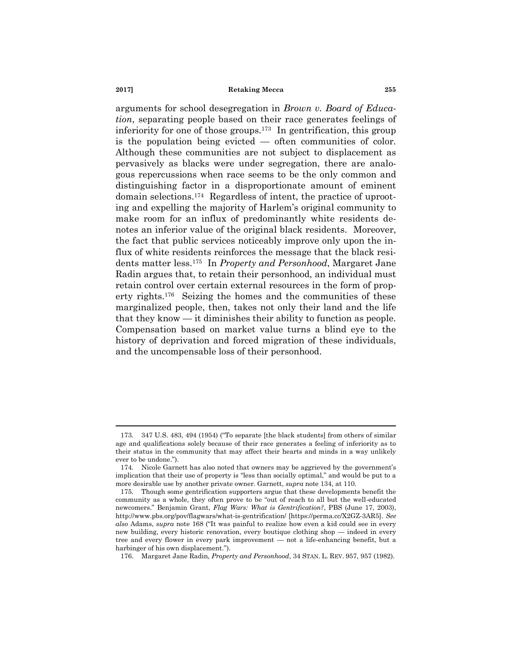arguments for school desegregation in *Brown v. Board of Education*, separating people based on their race generates feelings of inferiority for one of those groups.<sup>173</sup> In gentrification, this group is the population being evicted — often communities of color. Although these communities are not subject to displacement as pervasively as blacks were under segregation, there are analogous repercussions when race seems to be the only common and distinguishing factor in a disproportionate amount of eminent domain selections.<sup>174</sup> Regardless of intent, the practice of uprooting and expelling the majority of Harlem's original community to make room for an influx of predominantly white residents denotes an inferior value of the original black residents. Moreover, the fact that public services noticeably improve only upon the influx of white residents reinforces the message that the black residents matter less.<sup>175</sup> In *Property and Personhood*, Margaret Jane Radin argues that, to retain their personhood, an individual must retain control over certain external resources in the form of property rights.<sup>176</sup> Seizing the homes and the communities of these marginalized people, then, takes not only their land and the life that they know — it diminishes their ability to function as people. Compensation based on market value turns a blind eye to the history of deprivation and forced migration of these individuals, and the uncompensable loss of their personhood.

<sup>173. 347</sup> U.S. 483, 494 (1954) ("To separate [the black students] from others of similar age and qualifications solely because of their race generates a feeling of inferiority as to their status in the community that may affect their hearts and minds in a way unlikely ever to be undone.").

<sup>174.</sup> Nicole Garnett has also noted that owners may be aggrieved by the government's implication that their use of property is "less than socially optimal," and would be put to a more desirable use by another private owner. Garnett, *supra* not[e 134,](#page-22-0) at 110.

<sup>175.</sup> Though some gentrification supporters argue that these developments benefit the community as a whole, they often prove to be "out of reach to all but the well-educated newcomers.‖ Benjamin Grant, *Flag Wars: What is Gentrification?*, PBS (June 17, 2003), http://www.pbs.org/pov/flagwars/what-is-gentrification/ [https://perma.cc/X2GZ-3AR5]. *See*  also Adams, *supra* note [168](#page-29-0) ("It was painful to realize how even a kid could see in every new building, every historic renovation, every boutique clothing shop — indeed in every tree and every flower in every park improvement — not a life-enhancing benefit, but a harbinger of his own displacement.").

<sup>176.</sup> Margaret Jane Radin, *Property and Personhood*, 34 STAN. L. REV. 957, 957 (1982).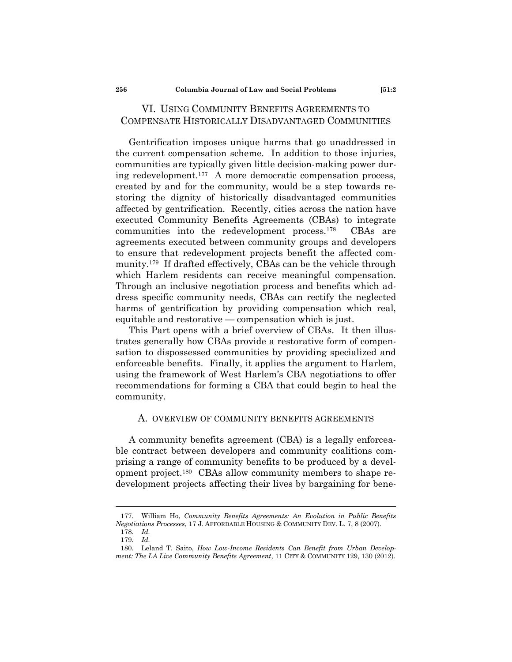# VI. USING COMMUNITY BENEFITS AGREEMENTS TO COMPENSATE HISTORICALLY DISADVANTAGED COMMUNITIES

Gentrification imposes unique harms that go unaddressed in the current compensation scheme. In addition to those injuries, communities are typically given little decision-making power during redevelopment.<sup>177</sup> A more democratic compensation process, created by and for the community, would be a step towards restoring the dignity of historically disadvantaged communities affected by gentrification. Recently, cities across the nation have executed Community Benefits Agreements (CBAs) to integrate communities into the redevelopment process.<sup>178</sup> CBAs are agreements executed between community groups and developers to ensure that redevelopment projects benefit the affected community.<sup>179</sup> If drafted effectively, CBAs can be the vehicle through which Harlem residents can receive meaningful compensation. Through an inclusive negotiation process and benefits which address specific community needs, CBAs can rectify the neglected harms of gentrification by providing compensation which real, equitable and restorative — compensation which is just.

This Part opens with a brief overview of CBAs. It then illustrates generally how CBAs provide a restorative form of compensation to dispossessed communities by providing specialized and enforceable benefits. Finally, it applies the argument to Harlem, using the framework of West Harlem's CBA negotiations to offer recommendations for forming a CBA that could begin to heal the community.

# <span id="page-31-0"></span>A. OVERVIEW OF COMMUNITY BENEFITS AGREEMENTS

A community benefits agreement (CBA) is a legally enforceable contract between developers and community coalitions comprising a range of community benefits to be produced by a development project.<sup>180</sup> CBAs allow community members to shape redevelopment projects affecting their lives by bargaining for bene-

<sup>177.</sup> William Ho, *Community Benefits Agreements: An Evolution in Public Benefits Negotiations Processes*, 17 J. AFFORDABLE HOUSING & COMMUNITY DEV. L. 7, 8 (2007). 178. *Id.*

<sup>179.</sup> *Id.*

<sup>180.</sup> Leland T. Saito, *How Low-Income Residents Can Benefit from Urban Development: The LA Live Community Benefits Agreement*, 11 CITY & COMMUNITY 129, 130 (2012).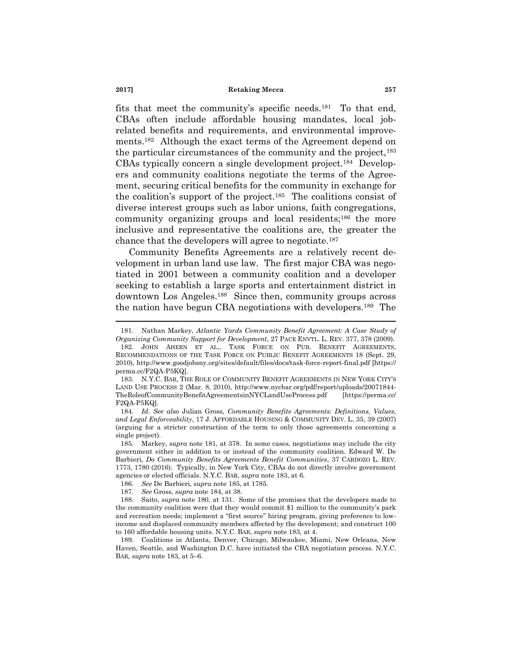<span id="page-32-4"></span><span id="page-32-3"></span><span id="page-32-1"></span><span id="page-32-0"></span>fits that meet the community's specific needs.<sup>181</sup> To that end, CBAs often include affordable housing mandates, local jobrelated benefits and requirements, and environmental improvements.<sup>182</sup> Although the exact terms of the Agreement depend on the particular circumstances of the community and the project,<sup>183</sup> CBAs typically concern a single development project.<sup>184</sup> Developers and community coalitions negotiate the terms of the Agreement, securing critical benefits for the community in exchange for the coalition's support of the project.<sup>185</sup> The coalitions consist of diverse interest groups such as labor unions, faith congregations, community organizing groups and local residents;<sup>186</sup> the more inclusive and representative the coalitions are, the greater the chance that the developers will agree to negotiate.<sup>187</sup>

<span id="page-32-2"></span>Community Benefits Agreements are a relatively recent development in urban land use law. The first major CBA was negotiated in 2001 between a community coalition and a developer seeking to establish a large sports and entertainment district in downtown Los Angeles.<sup>188</sup> Since then, community groups across the nation have begun CBA negotiations with developers.<sup>189</sup> The

<sup>181.</sup> Nathan Markey, *Atlantic Yards Community Benefit Agreement: A Case Study of* 

*Organizing Community Support for Development*, 27 PACE ENVTL. L. REV. 377, 378 (2009). 182. JOHN AHERN ET AL., TASK FORCE ON PUB. BENEFIT AGREEMENTS, RECOMMENDATIONS OF THE TASK FORCE ON PUBLIC BENEFIT AGREEMENTS 18 (Sept. 29, 2010), http://www.goodjobsny.org/sites/default/files/docs/task-force-report-final.pdf [https:// perma.cc/F2QA-P5KQ].

<sup>183.</sup> N.Y.C. BAR, THE ROLE OF COMMUNITY BENEFIT AGREEMENTS IN NEW YORK CITY'S LAND USE PROCESS 2 (Mar. 8, 2010), http://www.nycbar.org/pdf/report/uploads/20071844- TheRoleofCommunityBenefitAgreementsinNYCLandUseProcess.pdf [https://perma.cc/ F2QA-P5KQ].

<sup>184.</sup> *Id. See also* Julian Gross, *Community Benefits Agreements: Definitions, Values, and Legal Enforceability*, 17 J. AFFORDABLE HOUSING & COMMUNITY DEV. L. 35, 39 (2007) (arguing for a stricter construction of the term to only those agreements concerning a single project).

<sup>185.</sup> Markey, *supra* note [181,](#page-32-0) at 378. In some cases, negotiations may include the city government either in addition to or instead of the community coalition. Edward W. De Barbieri, *Do Community Benefits Agreements Benefit Communities*, 37 CARDOZO L. REV. 1773, 1780 (2016). Typically, in New York City, CBAs do not directly involve government agencies or elected officials. N.Y.C. BAR, *supra* not[e 183,](#page-32-1) at 6.

<sup>186.</sup> *See* De Barbieri, *supra* not[e 185,](#page-32-2) at 1785.

<sup>187.</sup> *See* Gross, *supra* note [184,](#page-32-3) at 38.

<sup>188.</sup> Saito, *supra* note [180,](#page-31-0) at 131. Some of the promises that the developers made to the community coalition were that they would commit \$1 million to the community's park and recreation needs; implement a "first source" hiring program, giving preference to lowincome and displaced community members affected by the development; and construct 100 to 160 affordable housing units. N.Y.C. BAR, *supra* not[e 183,](#page-32-1) at 4.

<sup>189.</sup> Coalitions in Atlanta, Denver, Chicago, Milwaukee, Miami, New Orleans, New Haven, Seattle, and Washington D.C. have initiated the CBA negotiation process. N.Y.C. BAR, *supra* not[e 183,](#page-32-1) at 5–6.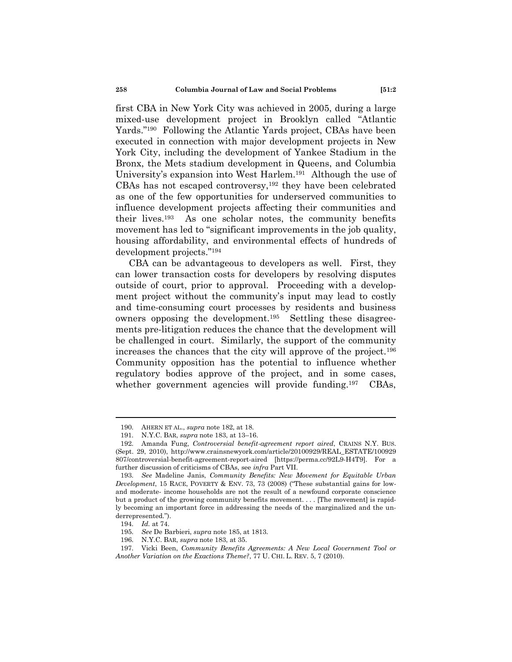first CBA in New York City was achieved in 2005, during a large mixed-use development project in Brooklyn called "Atlantic Yards."<sup>190</sup> Following the Atlantic Yards project, CBAs have been executed in connection with major development projects in New York City, including the development of Yankee Stadium in the Bronx, the Mets stadium development in Queens, and Columbia University's expansion into West Harlem.<sup>191</sup> Although the use of CBAs has not escaped controversy,<sup>192</sup> they have been celebrated as one of the few opportunities for underserved communities to influence development projects affecting their communities and their lives.<sup>193</sup> As one scholar notes, the community benefits movement has led to "significant improvements in the job quality, housing affordability, and environmental effects of hundreds of development projects."<sup>194</sup>

<span id="page-33-0"></span>CBA can be advantageous to developers as well. First, they can lower transaction costs for developers by resolving disputes outside of court, prior to approval. Proceeding with a development project without the community's input may lead to costly and time-consuming court processes by residents and business owners opposing the development.<sup>195</sup> Settling these disagreements pre-litigation reduces the chance that the development will be challenged in court. Similarly, the support of the community increases the chances that the city will approve of the project.<sup>196</sup> Community opposition has the potential to influence whether regulatory bodies approve of the project, and in some cases, whether government agencies will provide funding.<sup>197</sup> CBAs,

<span id="page-33-1"></span><sup>190.</sup> AHERN ET AL., *supra* note [182,](#page-32-4) at 18.

<sup>191.</sup> N.Y.C. BAR, *supra* note [183,](#page-32-1) at 13–16.

<sup>192.</sup> Amanda Fung, *Controversial benefit-agreement report aired*, CRAINS N.Y. BUS. (Sept. 29, 2010), http://www.crainsnewyork.com/article/20100929/REAL\_ESTATE/100929 807/controversial-benefit-agreement-report-aired [https://perma.cc/92L9-H4T9]. For a further discussion of criticisms of CBAs, see *infra* Part VII.

<sup>193.</sup> *See* Madeline Janis, *Community Benefits: New Movement for Equitable Urban*   $Development$ , 15 RACE, POVERTY  $\&$  ENV. 73, 73 (2008) ("These substantial gains for lowand moderate- income households are not the result of a newfound corporate conscience but a product of the growing community benefits movement. . . . [The movement] is rapidly becoming an important force in addressing the needs of the marginalized and the underrepresented.").

<sup>194.</sup> *Id.* at 74.

<sup>195.</sup> *See* De Barbieri, *supra* not[e 185,](#page-32-2) at 1813.

<sup>196.</sup> N.Y.C. BAR, *supra* note [183,](#page-32-1) at 35.

<sup>197.</sup> Vicki Been, *Community Benefits Agreements: A New Local Government Tool or Another Variation on the Exactions Theme?*, 77 U. CHI. L. REV. 5, 7 (2010).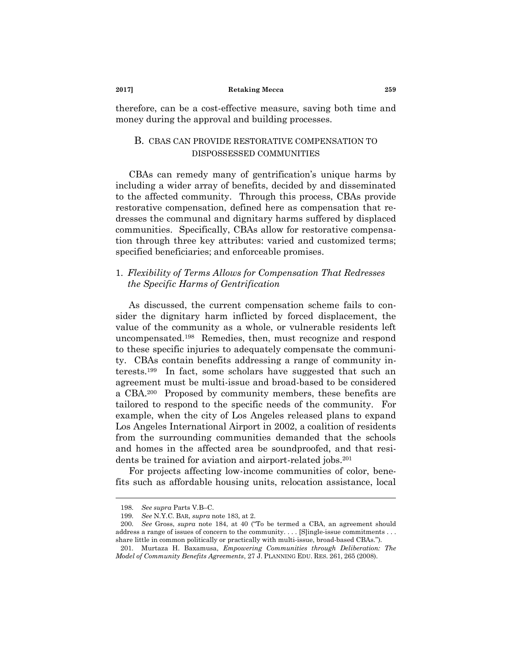therefore, can be a cost-effective measure, saving both time and money during the approval and building processes.

# B. CBAS CAN PROVIDE RESTORATIVE COMPENSATION TO DISPOSSESSED COMMUNITIES

CBAs can remedy many of gentrification's unique harms by including a wider array of benefits, decided by and disseminated to the affected community. Through this process, CBAs provide restorative compensation, defined here as compensation that redresses the communal and dignitary harms suffered by displaced communities. Specifically, CBAs allow for restorative compensation through three key attributes: varied and customized terms; specified beneficiaries; and enforceable promises.

# 1. *Flexibility of Terms Allows for Compensation That Redresses the Specific Harms of Gentrification*

As discussed, the current compensation scheme fails to consider the dignitary harm inflicted by forced displacement, the value of the community as a whole, or vulnerable residents left uncompensated.<sup>198</sup> Remedies, then, must recognize and respond to these specific injuries to adequately compensate the community. CBAs contain benefits addressing a range of community interests.<sup>199</sup> In fact, some scholars have suggested that such an agreement must be multi-issue and broad-based to be considered a CBA.<sup>200</sup> Proposed by community members, these benefits are tailored to respond to the specific needs of the community. For example, when the city of Los Angeles released plans to expand Los Angeles International Airport in 2002, a coalition of residents from the surrounding communities demanded that the schools and homes in the affected area be soundproofed, and that residents be trained for aviation and airport-related jobs.<sup>201</sup>

For projects affecting low-income communities of color, benefits such as affordable housing units, relocation assistance, local

<span id="page-34-0"></span><sup>198.</sup> *See supra* Parts V.B–C.

<sup>199.</sup> *See* N.Y.C. BAR, *supra* not[e 183,](#page-32-1) at 2.

<sup>200.</sup> *See* Gross, *supra* note [184](#page-32-3), at 40 ("To be termed a CBA, an agreement should address a range of issues of concern to the community.... [S]ingle-issue commitments ... share little in common politically or practically with multi-issue, broad-based CBAs.").

<sup>201.</sup> Murtaza H. Baxamusa, *Empowering Communities through Deliberation: The Model of Community Benefits Agreements*, 27 J. PLANNING EDU. RES. 261, 265 (2008).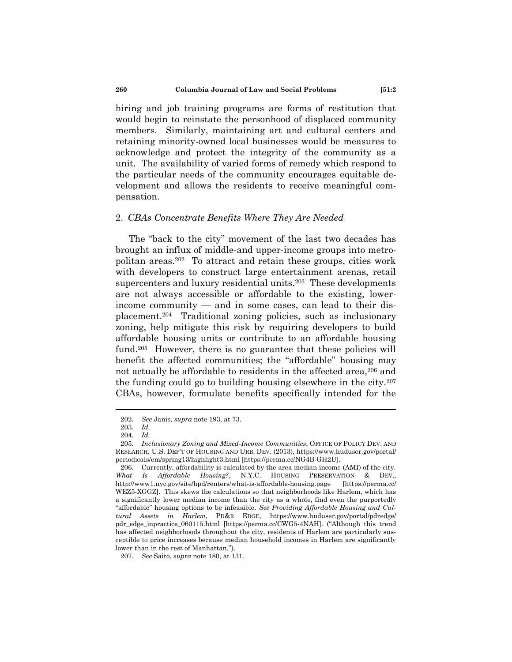hiring and job training programs are forms of restitution that would begin to reinstate the personhood of displaced community members. Similarly, maintaining art and cultural centers and retaining minority-owned local businesses would be measures to acknowledge and protect the integrity of the community as a unit. The availability of varied forms of remedy which respond to the particular needs of the community encourages equitable development and allows the residents to receive meaningful compensation.

### 2. *CBAs Concentrate Benefits Where They Are Needed*

The "back to the city" movement of the last two decades has brought an influx of middle-and upper-income groups into metropolitan areas.<sup>202</sup> To attract and retain these groups, cities work with developers to construct large entertainment arenas, retail supercenters and luxury residential units.<sup>203</sup> These developments are not always accessible or affordable to the existing, lowerincome community — and in some cases, can lead to their displacement.<sup>204</sup> Traditional zoning policies, such as inclusionary zoning, help mitigate this risk by requiring developers to build affordable housing units or contribute to an affordable housing fund.<sup>205</sup> However, there is no guarantee that these policies will benefit the affected communities; the "affordable" housing may not actually be affordable to residents in the affected area,<sup>206</sup> and the funding could go to building housing elsewhere in the city.<sup>207</sup> CBAs, however, formulate benefits specifically intended for the

<sup>202.</sup> *See* Janis, *supra* note [193,](#page-33-0) at 73.

<sup>203.</sup> *Id.*

<sup>204.</sup> *Id.*

<sup>205.</sup> *Inclusionary Zoning and Mixed-Income Communities*, OFFICE OF POLICY DEV. AND RESEARCH, U.S. DEP'T OF HOUSING AND URB. DEV. (2013), https://www.huduser.gov/portal/ periodicals/em/spring13/highlight3.html [https://perma.cc/NG4B-GH2U].

<sup>206.</sup> Currently, affordability is calculated by the area median income (AMI) of the city. *What Is Affordable Housing?*, N.Y.C. HOUSING PRESERVATION & DEV., http://www1.nyc.gov/site/hpd/renters/what-is-affordable-housing.page [https://perma.cc/ WEZ5-XGGZ]. This skews the calculations so that neighborhoods like Harlem, which has a significantly lower median income than the city as a whole, find even the purportedly ―affordable‖ housing options to be infeasible. *See Providing Affordable Housing and Cultural Assets in Harlem*, PD&R EDGE, https://www.huduser.gov/portal/pdredge/ pdr\_edge\_inpractice\_060115.html [https://perma.cc/CWG5-4NAH]. ("Although this trend has affected neighborhoods throughout the city, residents of Harlem are particularly susceptible to price increases because median household incomes in Harlem are significantly lower than in the rest of Manhattan.").

<sup>207.</sup> *See* Saito, *supra* note [180,](#page-31-0) at 131.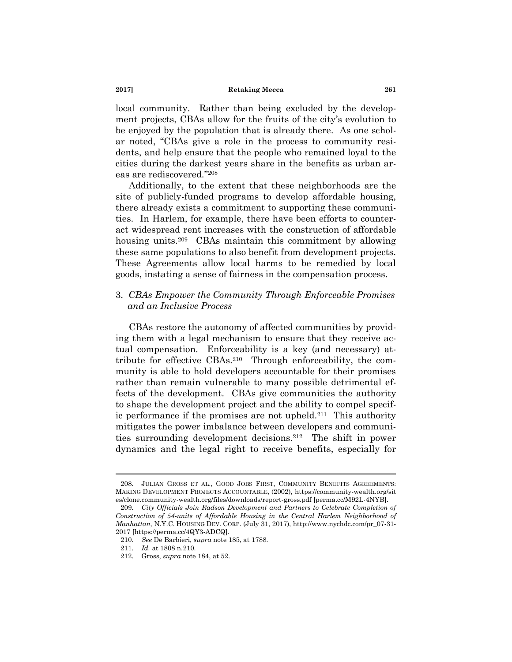local community. Rather than being excluded by the development projects, CBAs allow for the fruits of the city's evolution to be enjoyed by the population that is already there. As one scholar noted, "CBAs give a role in the process to community residents, and help ensure that the people who remained loyal to the cities during the darkest years share in the benefits as urban areas are rediscovered."208

Additionally, to the extent that these neighborhoods are the site of publicly-funded programs to develop affordable housing, there already exists a commitment to supporting these communities. In Harlem, for example, there have been efforts to counteract widespread rent increases with the construction of affordable housing units.<sup>209</sup> CBAs maintain this commitment by allowing these same populations to also benefit from development projects. These Agreements allow local harms to be remedied by local goods, instating a sense of fairness in the compensation process.

# 3. *CBAs Empower the Community Through Enforceable Promises and an Inclusive Process*

CBAs restore the autonomy of affected communities by providing them with a legal mechanism to ensure that they receive actual compensation. Enforceability is a key (and necessary) attribute for effective CBAs.<sup>210</sup> Through enforceability, the community is able to hold developers accountable for their promises rather than remain vulnerable to many possible detrimental effects of the development. CBAs give communities the authority to shape the development project and the ability to compel specific performance if the promises are not upheld.<sup>211</sup> This authority mitigates the power imbalance between developers and communities surrounding development decisions.<sup>212</sup> The shift in power dynamics and the legal right to receive benefits, especially for

<sup>208.</sup> JULIAN GROSS ET AL., GOOD JOBS FIRST, COMMUNITY BENEFITS AGREEMENTS: MAKING DEVELOPMENT PROJECTS ACCOUNTABLE, (2002), https://community-wealth.org/sit es/clone.community-wealth.org/files/downloads/report-gross.pdf [perma.cc/M92L-4NYB].

<sup>209.</sup> *City Officials Join Radson Development and Partners to Celebrate Completion of Construction of 54-units of Affordable Housing in the Central Harlem Neighborhood of Manhattan*, N.Y.C. HOUSING DEV. CORP. (July 31, 2017), http://www.nychdc.com/pr\_07-31- 2017 [https://perma.cc/4QY3-ADCQ].

<sup>210.</sup> *See* De Barbieri, *supra* not[e 185,](#page-32-2) at 1788.

<sup>211.</sup> *Id.* at 1808 n.210.

<sup>212.</sup> Gross, *supra* not[e 184,](#page-32-3) at 52.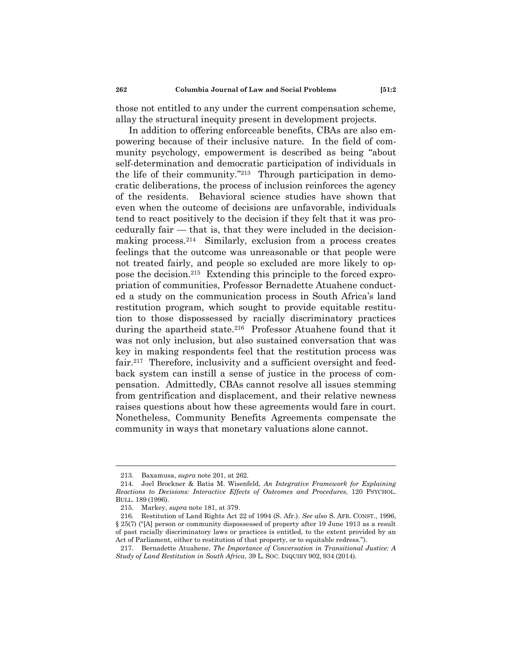those not entitled to any under the current compensation scheme, allay the structural inequity present in development projects.

In addition to offering enforceable benefits, CBAs are also empowering because of their inclusive nature. In the field of community psychology, empowerment is described as being "about self-determination and democratic participation of individuals in the life of their community."<sup>213</sup> Through participation in democratic deliberations, the process of inclusion reinforces the agency of the residents. Behavioral science studies have shown that even when the outcome of decisions are unfavorable, individuals tend to react positively to the decision if they felt that it was procedurally fair — that is, that they were included in the decisionmaking process.<sup>214</sup> Similarly, exclusion from a process creates feelings that the outcome was unreasonable or that people were not treated fairly, and people so excluded are more likely to oppose the decision.<sup>215</sup> Extending this principle to the forced expropriation of communities, Professor Bernadette Atuahene conducted a study on the communication process in South Africa's land restitution program, which sought to provide equitable restitution to those dispossessed by racially discriminatory practices during the apartheid state.<sup>216</sup> Professor Atuahene found that it was not only inclusion, but also sustained conversation that was key in making respondents feel that the restitution process was fair.<sup>217</sup> Therefore, inclusivity and a sufficient oversight and feedback system can instill a sense of justice in the process of compensation. Admittedly, CBAs cannot resolve all issues stemming from gentrification and displacement, and their relative newness raises questions about how these agreements would fare in court. Nonetheless, Community Benefits Agreements compensate the community in ways that monetary valuations alone cannot.

<sup>213.</sup> Baxamusa, *supra* not[e 201,](#page-34-0) at 262.

<sup>214.</sup> Joel Brockner & Batia M. Wisenfeld, *An Integrative Framework for Explaining Reactions to Decisions: Interactive Effects of Outcomes and Procedures*, 120 PSYCHOL. BULL. 189 (1996).

<sup>215.</sup> Markey, *supra* note [181,](#page-32-0) at 379.

<sup>216.</sup> Restitution of Land Rights Act 22 of 1994 (S. Afr.). *See also* S. AFR. CONST., 1996, § 25(7) ("[A] person or community dispossessed of property after 19 June 1913 as a result of past racially discriminatory laws or practices is entitled, to the extent provided by an Act of Parliament, either to restitution of that property, or to equitable redress.").

<sup>217.</sup> Bernadette Atuahene, *The Importance of Conversation in Transitional Justice: A Study of Land Restitution in South Africa*, 39 L. SOC. INQUIRY 902, 934 (2014).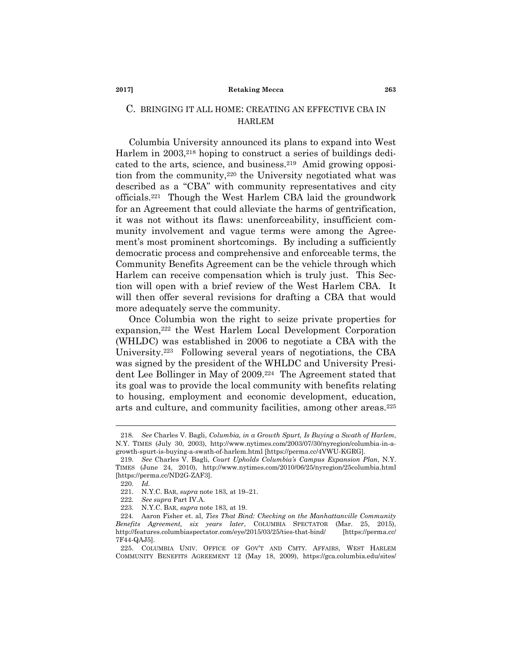# C. BRINGING IT ALL HOME: CREATING AN EFFECTIVE CBA IN HARLEM

Columbia University announced its plans to expand into West Harlem in 2003,<sup>218</sup> hoping to construct a series of buildings dedicated to the arts, science, and business.<sup>219</sup> Amid growing opposition from the community,<sup>220</sup> the University negotiated what was described as a "CBA" with community representatives and city officials.<sup>221</sup> Though the West Harlem CBA laid the groundwork for an Agreement that could alleviate the harms of gentrification, it was not without its flaws: unenforceability, insufficient community involvement and vague terms were among the Agreement's most prominent shortcomings. By including a sufficiently democratic process and comprehensive and enforceable terms, the Community Benefits Agreement can be the vehicle through which Harlem can receive compensation which is truly just. This Section will open with a brief review of the West Harlem CBA. It will then offer several revisions for drafting a CBA that would more adequately serve the community.

<span id="page-38-0"></span>Once Columbia won the right to seize private properties for expansion,<sup>222</sup> the West Harlem Local Development Corporation (WHLDC) was established in 2006 to negotiate a CBA with the University.<sup>223</sup> Following several years of negotiations, the CBA was signed by the president of the WHLDC and University President Lee Bollinger in May of 2009.<sup>224</sup> The Agreement stated that its goal was to provide the local community with benefits relating to housing, employment and economic development, education, arts and culture, and community facilities, among other areas.<sup>225</sup>

<span id="page-38-1"></span><sup>218.</sup> *See* Charles V. Bagli, *Columbia, in a Growth Spurt, Is Buying a Swath of Harlem*, N.Y. TIMES (July 30, 2003), http://www.nytimes.com/2003/07/30/nyregion/columbia-in-agrowth-spurt-is-buying-a-swath-of-harlem.html [https://perma.cc/4VWU-KGRG].

<sup>219.</sup> *See* Charles V. Bagli, *Court Upholds Columbia"s Campus Expansion Plan*, N.Y. TIMES (June 24, 2010), http://www.nytimes.com/2010/06/25/nyregion/25columbia.html [https://perma.cc/ND2G-ZAF3].

<sup>220.</sup> *Id.*

<sup>221.</sup> N.Y.C. BAR, *supra* note [183,](#page-32-1) at 19–21.

<sup>222.</sup> *See supra* Part IV.A.

<sup>223.</sup> N.Y.C. BAR, *supra* note [183,](#page-32-1) at 19.

<sup>224.</sup> Aaron Fisher et. al, *Ties That Bind: Checking on the Manhattanville Community Benefits Agreement, six years later*, COLUMBIA SPECTATOR (Mar. 25, 2015), http://features.columbiaspectator.com/eye/2015/03/25/ties-that-bind/ [https://perma.cc/ 7F44-QAJ5].

<sup>225.</sup> COLUMBIA UNIV. OFFICE OF GOV'T AND CMTY. AFFAIRS, WEST HARLEM COMMUNITY BENEFITS AGREEMENT 12 (May 18, 2009), https://gca.columbia.edu/sites/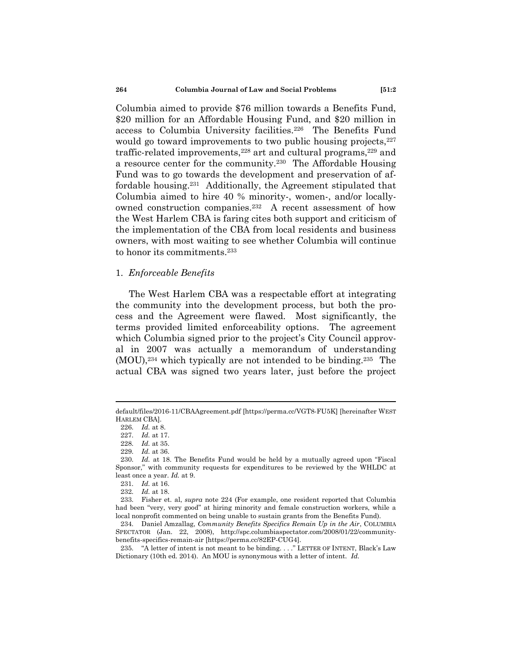Columbia aimed to provide \$76 million towards a Benefits Fund, \$20 million for an Affordable Housing Fund, and \$20 million in access to Columbia University facilities.<sup>226</sup> The Benefits Fund would go toward improvements to two public housing projects, <sup>227</sup> traffic-related improvements,<sup>228</sup> art and cultural programs,<sup>229</sup> and a resource center for the community.<sup>230</sup> The Affordable Housing Fund was to go towards the development and preservation of affordable housing.<sup>231</sup> Additionally, the Agreement stipulated that Columbia aimed to hire 40 % minority-, women-, and/or locallyowned construction companies.<sup>232</sup> A recent assessment of how the West Harlem CBA is faring cites both support and criticism of the implementation of the CBA from local residents and business owners, with most waiting to see whether Columbia will continue to honor its commitments.<sup>233</sup>

### 1. *Enforceable Benefits*

The West Harlem CBA was a respectable effort at integrating the community into the development process, but both the process and the Agreement were flawed. Most significantly, the terms provided limited enforceability options. The agreement which Columbia signed prior to the project's City Council approval in 2007 was actually a memorandum of understanding  $(MOU)$ ,<sup>234</sup> which typically are not intended to be binding.<sup>235</sup> The actual CBA was signed two years later, just before the project

default/files/2016-11/CBAAgreement.pdf [https://perma.cc/VGT8-FU5K] [hereinafter WEST HARLEM CBA].

<sup>226.</sup> *Id.* at 8.

<sup>227.</sup> *Id.* at 17.

<sup>228.</sup> *Id.* at 35.

<sup>229.</sup> *Id.* at 36.

<sup>230.</sup> *Id.* at 18. The Benefits Fund would be held by a mutually agreed upon "Fiscal Sponsor," with community requests for expenditures to be reviewed by the WHLDC at least once a year. *Id.* at 9.

<sup>231.</sup> *Id.* at 16.

<sup>232.</sup> *Id.* at 18.

<sup>233.</sup> Fisher et. al, *supra* note [224](#page-38-0) (For example, one resident reported that Columbia had been "very, very good" at hiring minority and female construction workers, while a local nonprofit commented on being unable to sustain grants from the Benefits Fund).

<sup>234.</sup> Daniel Amzallag, *Community Benefits Specifics Remain Up in the Air*, COLUMBIA SPECTATOR (Jan. 22, 2008), http://spc.columbiaspectator.com/2008/01/22/communitybenefits-specifics-remain-air [https://perma.cc/82EP-CUG4].

<sup>235. &</sup>quot;A letter of intent is not meant to be binding...." LETTER OF INTENT, Black's Law Dictionary (10th ed. 2014). An MOU is synonymous with a letter of intent. *Id.*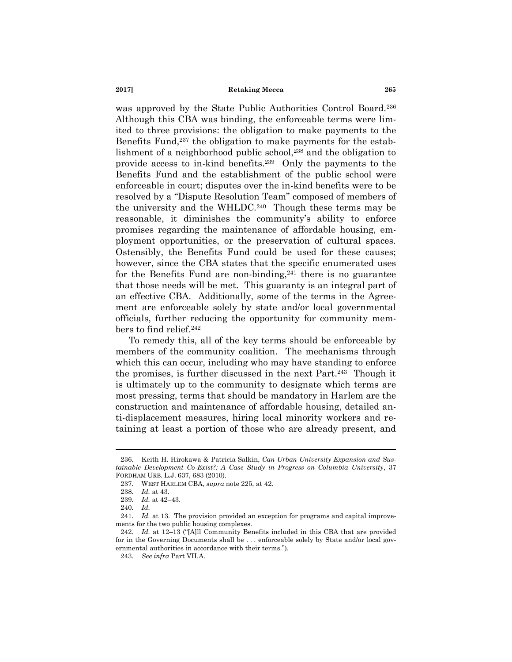was approved by the State Public Authorities Control Board.<sup>236</sup> Although this CBA was binding, the enforceable terms were limited to three provisions: the obligation to make payments to the Benefits Fund,<sup>237</sup> the obligation to make payments for the establishment of a neighborhood public school,<sup>238</sup> and the obligation to provide access to in-kind benefits.<sup>239</sup> Only the payments to the Benefits Fund and the establishment of the public school were enforceable in court; disputes over the in-kind benefits were to be resolved by a "Dispute Resolution Team" composed of members of the university and the WHLDC.<sup>240</sup> Though these terms may be reasonable, it diminishes the community's ability to enforce promises regarding the maintenance of affordable housing, employment opportunities, or the preservation of cultural spaces. Ostensibly, the Benefits Fund could be used for these causes; however, since the CBA states that the specific enumerated uses for the Benefits Fund are non-binding,<sup>241</sup> there is no guarantee that those needs will be met. This guaranty is an integral part of an effective CBA. Additionally, some of the terms in the Agreement are enforceable solely by state and/or local governmental officials, further reducing the opportunity for community members to find relief.<sup>242</sup>

To remedy this, all of the key terms should be enforceable by members of the community coalition. The mechanisms through which this can occur, including who may have standing to enforce the promises, is further discussed in the next Part.<sup>243</sup> Though it is ultimately up to the community to designate which terms are most pressing, terms that should be mandatory in Harlem are the construction and maintenance of affordable housing, detailed anti-displacement measures, hiring local minority workers and retaining at least a portion of those who are already present, and

<sup>236.</sup> Keith H. Hirokawa & Patricia Salkin, *Can Urban University Expansion and Sustainable Development Co-Exist?: A Case Study in Progress on Columbia University*, 37 FORDHAM URB. L.J. 637, 683 (2010).

<sup>237.</sup> WEST HARLEM CBA, *supra* not[e 225,](#page-38-1) at 42.

<sup>238.</sup> *Id.* at 43.

<sup>239.</sup> *Id.* at 42–43.

<sup>240.</sup> *Id.*

<sup>241.</sup> *Id.* at 13. The provision provided an exception for programs and capital improvements for the two public housing complexes.

<sup>242.</sup> *Id.* at 12–13 ("[A]ll Community Benefits included in this CBA that are provided for in the Governing Documents shall be . . . enforceable solely by State and/or local governmental authorities in accordance with their terms.").

<sup>243.</sup> *See infra* Part VII.A.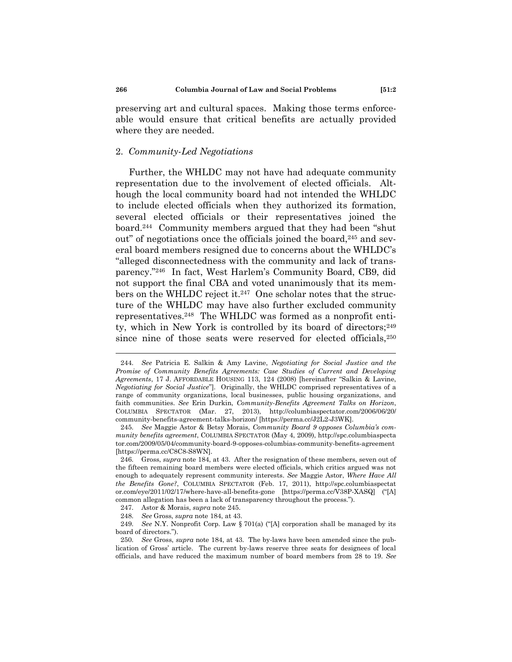preserving art and cultural spaces. Making those terms enforceable would ensure that critical benefits are actually provided where they are needed.

### 2. *Community-Led Negotiations*

<span id="page-41-1"></span><span id="page-41-0"></span>Further, the WHLDC may not have had adequate community representation due to the involvement of elected officials. Although the local community board had not intended the WHLDC to include elected officials when they authorized its formation, several elected officials or their representatives joined the board.<sup>244</sup> Community members argued that they had been "shut out" of negotiations once the officials joined the board,<sup>245</sup> and several board members resigned due to concerns about the WHLDC's ―alleged disconnectedness with the community and lack of transparency."<sup>246</sup> In fact, West Harlem's Community Board, CB9, did not support the final CBA and voted unanimously that its members on the WHLDC reject it.<sup>247</sup> One scholar notes that the structure of the WHLDC may have also further excluded community representatives.<sup>248</sup> The WHLDC was formed as a nonprofit entity, which in New York is controlled by its board of directors;<sup>249</sup> since nine of those seats were reserved for elected officials,<sup>250</sup>

<span id="page-41-2"></span><sup>244.</sup> *See* Patricia E. Salkin & Amy Lavine, *Negotiating for Social Justice and the Promise of Community Benefits Agreements: Case Studies of Current and Developing Agreements*, 17 J. AFFORDABLE HOUSING 113, 124 (2008) [hereinafter ―Salkin & Lavine, *Negotiating for Social Justice*‖]. Originally, the WHLDC comprised representatives of a range of community organizations, local businesses, public housing organizations, and faith communities. *See* Erin Durkin, *Community-Benefits Agreement Talks on Horizon*, COLUMBIA SPECTATOR (Mar. 27, 2013), http://columbiaspectator.com/2006/06/20/ community-benefits-agreement-talks-horizon/ [https://perma.cc/J2L2-J3WK].

<sup>245.</sup> *See* Maggie Astor & Betsy Morais, *Community Board 9 opposes Columbia"s community benefits agreement*, COLUMBIA SPECTATOR (May 4, 2009), http://spc.columbiaspecta tor.com/2009/05/04/community-board-9-opposes-columbias-community-benefits-agreement [https://perma.cc/C8C8-S8WN].

<sup>246.</sup> Gross, *supra* not[e 184,](#page-32-3) at 43. After the resignation of these members, seven out of the fifteen remaining board members were elected officials, which critics argued was not enough to adequately represent community interests. *See* Maggie Astor, *Where Have All the Benefits Gone?*, COLUMBIA SPECTATOR (Feb. 17, 2011), http://spc.columbiaspectat or.com/eye/2011/02/17/where-have-all-benefits-gone [https://perma.cc/V38P-XASQ] ("[A] common allegation has been a lack of transparency throughout the process.").

<sup>247.</sup> Astor & Morais, *supra* note [245.](#page-41-0)

<sup>248.</sup> *See* Gross, *supra* note [184,](#page-32-3) at 43.

<sup>249.</sup> *See* N.Y. Nonprofit Corp. Law § 701(a) ("[A] corporation shall be managed by its board of directors.").

<sup>250.</sup> *See* Gross, *supra* not[e 184,](#page-32-3) at 43. The by-laws have been amended since the publication of Gross' article. The current by-laws reserve three seats for designees of local officials, and have reduced the maximum number of board members from 28 to 19. *See*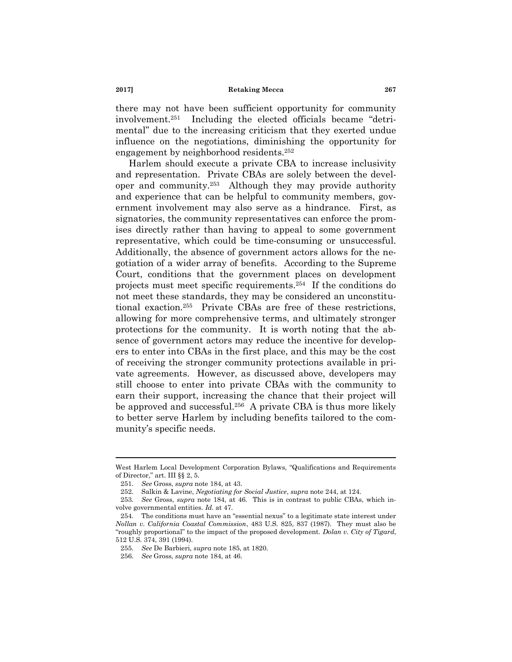there may not have been sufficient opportunity for community  $involvement.<sup>251</sup>$  Including the elected officials became "detrimental" due to the increasing criticism that they exerted undue influence on the negotiations, diminishing the opportunity for engagement by neighborhood residents.<sup>252</sup>

<span id="page-42-0"></span>Harlem should execute a private CBA to increase inclusivity and representation. Private CBAs are solely between the developer and community.<sup>253</sup> Although they may provide authority and experience that can be helpful to community members, government involvement may also serve as a hindrance. First, as signatories, the community representatives can enforce the promises directly rather than having to appeal to some government representative, which could be time-consuming or unsuccessful. Additionally, the absence of government actors allows for the negotiation of a wider array of benefits. According to the Supreme Court, conditions that the government places on development projects must meet specific requirements.<sup>254</sup> If the conditions do not meet these standards, they may be considered an unconstitutional exaction.<sup>255</sup> Private CBAs are free of these restrictions, allowing for more comprehensive terms, and ultimately stronger protections for the community. It is worth noting that the absence of government actors may reduce the incentive for developers to enter into CBAs in the first place, and this may be the cost of receiving the stronger community protections available in private agreements. However, as discussed above, developers may still choose to enter into private CBAs with the community to earn their support, increasing the chance that their project will be approved and successful.<sup>256</sup> A private CBA is thus more likely to better serve Harlem by including benefits tailored to the community's specific needs.

West Harlem Local Development Corporation Bylaws, "Qualifications and Requirements of Director," art. III §§ 2, 5.

<sup>251.</sup> *See* Gross, *supra* note [184,](#page-32-3) at 43.

<sup>252.</sup> Salkin & Lavine, *Negotiating for Social Justice*, *supra* note [244,](#page-41-1) at 124.

<sup>253.</sup> *See* Gross, *supra* note [184,](#page-32-3) at 46. This is in contrast to public CBAs, which involve governmental entities. *Id.* at 47.

<sup>254.</sup> The conditions must have an "essential nexus" to a legitimate state interest under *Nollan v. California Coastal Commission*, 483 U.S. 825, 837 (1987). They must also be ―roughly proportional‖ to the impact of the proposed development. *Dolan v. City of Tigard*, 512 U.S. 374, 391 (1994).

<sup>255.</sup> *See* De Barbieri, *supra* not[e 185,](#page-32-2) at 1820.

<sup>256.</sup> *See* Gross, *supra* note [184,](#page-32-3) at 46.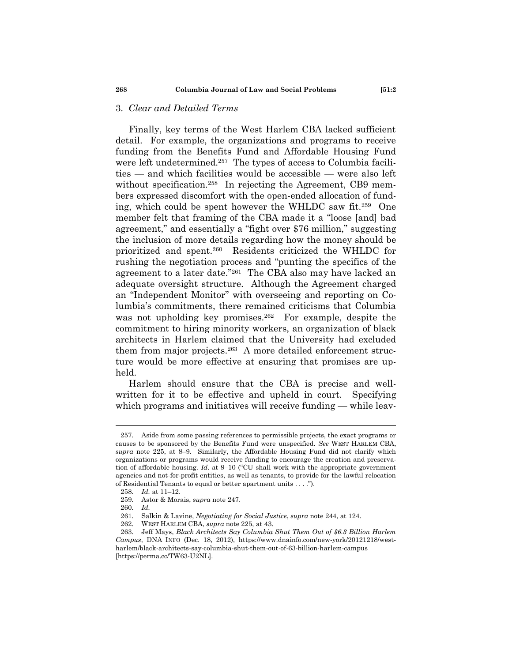# 3. *Clear and Detailed Terms*

Finally, key terms of the West Harlem CBA lacked sufficient detail. For example, the organizations and programs to receive funding from the Benefits Fund and Affordable Housing Fund were left undetermined.<sup>257</sup> The types of access to Columbia facilities — and which facilities would be accessible — were also left without specification.<sup>258</sup> In rejecting the Agreement, CB9 members expressed discomfort with the open-ended allocation of funding, which could be spent however the WHLDC saw fit.<sup>259</sup> One member felt that framing of the CBA made it a "loose [and] bad agreement," and essentially a "fight over \$76 million," suggesting the inclusion of more details regarding how the money should be prioritized and spent.<sup>260</sup> Residents criticized the WHLDC for rushing the negotiation process and "punting the specifics of the agreement to a later date."<sup>261</sup> The CBA also may have lacked an adequate oversight structure. Although the Agreement charged an "Independent Monitor" with overseeing and reporting on Columbia's commitments, there remained criticisms that Columbia was not upholding key promises.<sup>262</sup> For example, despite the commitment to hiring minority workers, an organization of black architects in Harlem claimed that the University had excluded them from major projects.<sup>263</sup> A more detailed enforcement structure would be more effective at ensuring that promises are upheld.

Harlem should ensure that the CBA is precise and wellwritten for it to be effective and upheld in court. Specifying which programs and initiatives will receive funding — while leav-

<sup>257.</sup> Aside from some passing references to permissible projects, the exact programs or causes to be sponsored by the Benefits Fund were unspecified. *See* WEST HARLEM CBA, *supra* note [225,](#page-38-1) at 8–9. Similarly, the Affordable Housing Fund did not clarify which organizations or programs would receive funding to encourage the creation and preservation of affordable housing.  $Id$ . at  $9-10$  ("CU shall work with the appropriate government agencies and not-for-profit entities, as well as tenants, to provide for the lawful relocation of Residential Tenants to equal or better apartment units . . . .").

<sup>258.</sup> *Id.* at 11–12.

<sup>259.</sup> Astor & Morais, *supra* note [247.](#page-41-2)

<sup>260.</sup> *Id.*

<sup>261.</sup> Salkin & Lavine, *Negotiating for Social Justice*, *supra* note [244,](#page-41-1) at 124.

<sup>262.</sup> WEST HARLEM CBA, *supra* not[e 225,](#page-38-1) at 43.

<sup>263.</sup> Jeff Mays, *Black Architects Say Columbia Shut Them Out of \$6.3 Billion Harlem Campus*, DNA INFO (Dec. 18, 2012), https://www.dnainfo.com/new-york/20121218/westharlem/black-architects-say-columbia-shut-them-out-of-63-billion-harlem-campus [https://perma.cc/TW63-U2NL].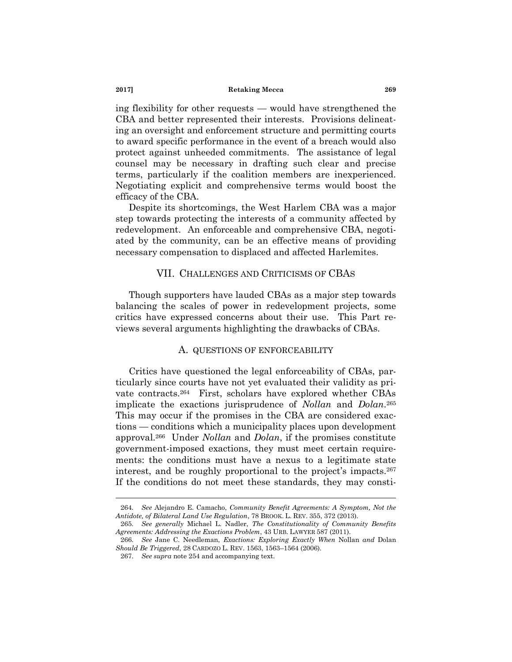ing flexibility for other requests — would have strengthened the CBA and better represented their interests. Provisions delineating an oversight and enforcement structure and permitting courts to award specific performance in the event of a breach would also protect against unheeded commitments. The assistance of legal counsel may be necessary in drafting such clear and precise terms, particularly if the coalition members are inexperienced. Negotiating explicit and comprehensive terms would boost the efficacy of the CBA.

Despite its shortcomings, the West Harlem CBA was a major step towards protecting the interests of a community affected by redevelopment. An enforceable and comprehensive CBA, negotiated by the community, can be an effective means of providing necessary compensation to displaced and affected Harlemites.

## VII. CHALLENGES AND CRITICISMS OF CBAS

Though supporters have lauded CBAs as a major step towards balancing the scales of power in redevelopment projects, some critics have expressed concerns about their use. This Part reviews several arguments highlighting the drawbacks of CBAs.

### <span id="page-44-1"></span><span id="page-44-0"></span>A. QUESTIONS OF ENFORCEABILITY

Critics have questioned the legal enforceability of CBAs, particularly since courts have not yet evaluated their validity as private contracts.<sup>264</sup> First, scholars have explored whether CBAs implicate the exactions jurisprudence of *Nollan* and *Dolan*. 265 This may occur if the promises in the CBA are considered exactions — conditions which a municipality places upon development approval.<sup>266</sup> Under *Nollan* and *Dolan*, if the promises constitute government-imposed exactions, they must meet certain requirements: the conditions must have a nexus to a legitimate state interest, and be roughly proportional to the project's impacts.<sup>267</sup> If the conditions do not meet these standards, they may consti-

<sup>264.</sup> *See* Alejandro E. Camacho, *Community Benefit Agreements: A Symptom, Not the Antidote, of Bilateral Land Use Regulation*, 78 BROOK. L. REV. 355, 372 (2013).

<sup>265.</sup> *See generally* Michael L. Nadler, *The Constitutionality of Community Benefits Agreements: Addressing the Exactions Problem*, 43 URB. LAWYER 587 (2011).

<sup>266.</sup> *See* Jane C. Needleman, *Exactions: Exploring Exactly When* Nollan *and* Dolan *Should Be Triggered*, 28 CARDOZO L. REV. 1563, 1563–1564 (2006).

<sup>267.</sup> *See supra* not[e 254](#page-42-0) and accompanying text.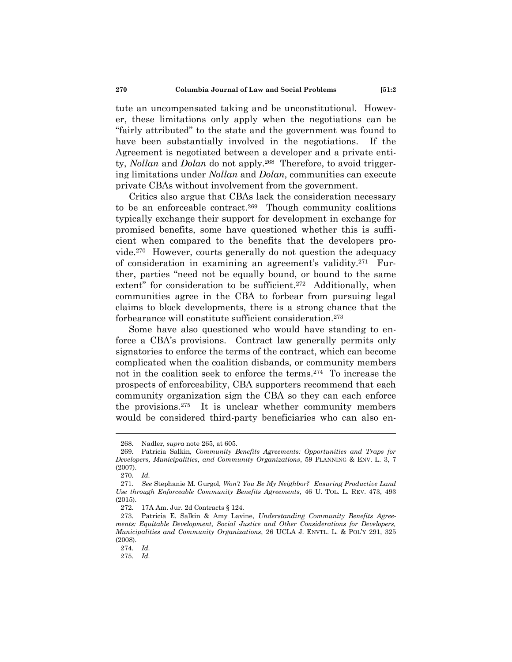tute an uncompensated taking and be unconstitutional. However, these limitations only apply when the negotiations can be ―fairly attributed‖ to the state and the government was found to have been substantially involved in the negotiations. If the Agreement is negotiated between a developer and a private entity, *Nollan* and *Dolan* do not apply.<sup>268</sup> Therefore, to avoid triggering limitations under *Nollan* and *Dolan*, communities can execute private CBAs without involvement from the government.

Critics also argue that CBAs lack the consideration necessary to be an enforceable contract.<sup>269</sup> Though community coalitions typically exchange their support for development in exchange for promised benefits, some have questioned whether this is sufficient when compared to the benefits that the developers provide.<sup>270</sup> However, courts generally do not question the adequacy of consideration in examining an agreement's validity.<sup>271</sup> Further, parties "need not be equally bound, or bound to the same extent" for consideration to be sufficient.<sup>272</sup> Additionally, when communities agree in the CBA to forbear from pursuing legal claims to block developments, there is a strong chance that the forbearance will constitute sufficient consideration.<sup>273</sup>

Some have also questioned who would have standing to enforce a CBA's provisions. Contract law generally permits only signatories to enforce the terms of the contract, which can become complicated when the coalition disbands, or community members not in the coalition seek to enforce the terms.<sup>274</sup> To increase the prospects of enforceability, CBA supporters recommend that each community organization sign the CBA so they can each enforce the provisions.<sup>275</sup> It is unclear whether community members would be considered third-party beneficiaries who can also en-

<sup>268.</sup> Nadler, *supra* note [265,](#page-44-0) at 605.

<sup>269.</sup> Patricia Salkin, *Community Benefits Agreements: Opportunities and Traps for Developers, Municipalities, and Community Organizations*, 59 PLANNING & ENV. L. 3, 7 (2007).

<sup>270.</sup> *Id.*

<sup>271.</sup> *See* Stephanie M. Gurgol, *Won"t You Be My Neighbor? Ensuring Productive Land Use through Enforceable Community Benefits Agreements*, 46 U. TOL. L. REV. 473, 493 (2015).

<sup>272.</sup> 17A Am. Jur. 2d Contracts § 124.

<sup>273.</sup> Patricia E. Salkin & Amy Lavine, *Understanding Community Benefits Agreements: Equitable Development, Social Justice and Other Considerations for Developers, Municipalities and Community Organizations*, 26 UCLA J. ENVTL. L. & POL'Y 291, 325 (2008).

<sup>274.</sup> *Id.*

<sup>275.</sup> *Id.*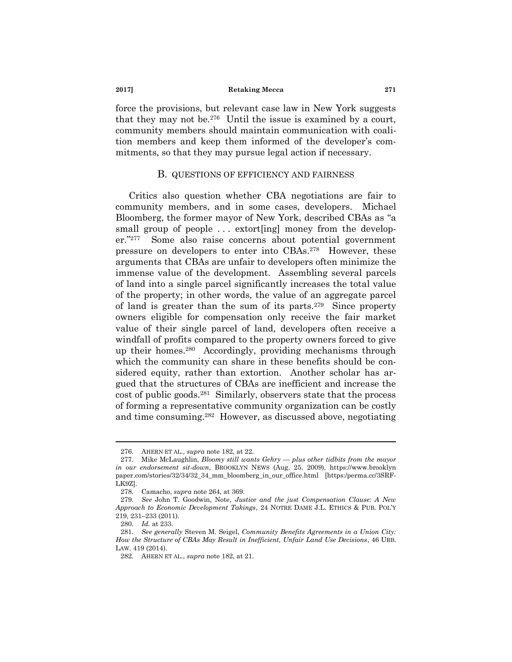force the provisions, but relevant case law in New York suggests that they may not be.<sup>276</sup> Until the issue is examined by a court, community members should maintain communication with coalition members and keep them informed of the developer's commitments, so that they may pursue legal action if necessary.

### B. QUESTIONS OF EFFICIENCY AND FAIRNESS

Critics also question whether CBA negotiations are fair to community members, and in some cases, developers. Michael Bloomberg, the former mayor of New York, described CBAs as "a small group of people ... extort [ing] money from the developer."<sup>277</sup> Some also raise concerns about potential government pressure on developers to enter into CBAs.<sup>278</sup> However, these arguments that CBAs are unfair to developers often minimize the immense value of the development. Assembling several parcels of land into a single parcel significantly increases the total value of the property; in other words, the value of an aggregate parcel of land is greater than the sum of its parts.<sup>279</sup> Since property owners eligible for compensation only receive the fair market value of their single parcel of land, developers often receive a windfall of profits compared to the property owners forced to give up their homes.<sup>280</sup> Accordingly, providing mechanisms through which the community can share in these benefits should be considered equity, rather than extortion. Another scholar has argued that the structures of CBAs are inefficient and increase the cost of public goods.<sup>281</sup> Similarly, observers state that the process of forming a representative community organization can be costly and time consuming.<sup>282</sup> However, as discussed above, negotiating

<sup>276.</sup> AHERN ET AL., *supra* note [182,](#page-32-4) at 22.

<sup>277.</sup> Mike McLaughlin, *Bloomy still wants Gehry — plus other tidbits from the mayor in our endorsement sit-down*, BROOKLYN NEWS (Aug. 25, 2009), https://www.brooklyn paper.com/stories/32/34/32\_34\_mm\_bloomberg\_in\_our\_office.html [https:/perma.cc/3SRF-LK9Z].

<sup>278.</sup> Camacho, *supra* not[e 264,](#page-44-1) at 369.

<sup>279.</sup> *See* John T. Goodwin, Note, *Justice and the just Compensation Clause: A New Approach to Economic Development Takings*, 24 NOTRE DAME J.L. ETHICS & PUB. POL'Y 219, 231–233 (2011).

<sup>280.</sup> *Id.* at 233.

<sup>281.</sup> *See generally* Steven M. Seigel, *Community Benefits Agreements in a Union City: How the Structure of CBAs May Result in Inefficient, Unfair Land Use Decisions*, 46 URB. LAW. 419 (2014).

<sup>282.</sup> AHERN ET AL., *supra* note [182,](#page-32-4) at 21.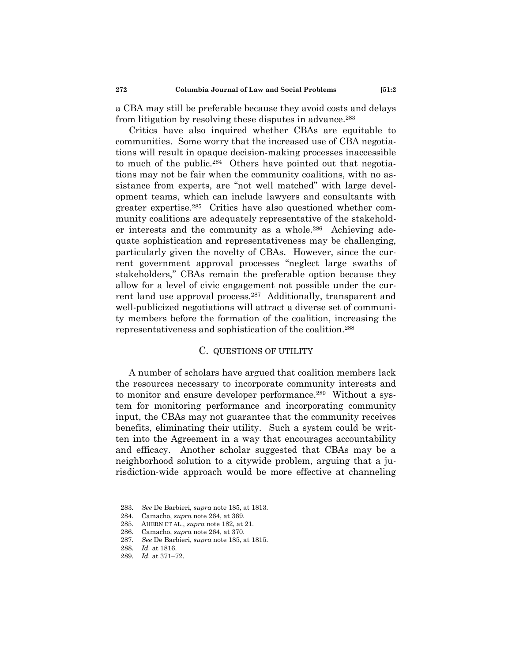a CBA may still be preferable because they avoid costs and delays from litigation by resolving these disputes in advance.<sup>283</sup>

Critics have also inquired whether CBAs are equitable to communities. Some worry that the increased use of CBA negotiations will result in opaque decision-making processes inaccessible to much of the public.<sup>284</sup> Others have pointed out that negotiations may not be fair when the community coalitions, with no assistance from experts, are "not well matched" with large development teams, which can include lawyers and consultants with greater expertise.<sup>285</sup> Critics have also questioned whether community coalitions are adequately representative of the stakeholder interests and the community as a whole.<sup>286</sup> Achieving adequate sophistication and representativeness may be challenging, particularly given the novelty of CBAs. However, since the current government approval processes "neglect large swaths of stakeholders," CBAs remain the preferable option because they allow for a level of civic engagement not possible under the current land use approval process.<sup>287</sup> Additionally, transparent and well-publicized negotiations will attract a diverse set of community members before the formation of the coalition, increasing the representativeness and sophistication of the coalition.<sup>288</sup>

### C. QUESTIONS OF UTILITY

A number of scholars have argued that coalition members lack the resources necessary to incorporate community interests and to monitor and ensure developer performance.<sup>289</sup> Without a system for monitoring performance and incorporating community input, the CBAs may not guarantee that the community receives benefits, eliminating their utility. Such a system could be written into the Agreement in a way that encourages accountability and efficacy. Another scholar suggested that CBAs may be a neighborhood solution to a citywide problem, arguing that a jurisdiction-wide approach would be more effective at channeling

<sup>283.</sup> *See* De Barbieri, *supra* not[e 185,](#page-32-2) at 1813.

<sup>284.</sup> Camacho, *supra* not[e 264,](#page-44-1) at 369.

<sup>285.</sup> AHERN ET AL., *supra* note [182,](#page-32-4) at 21.

<sup>286.</sup> Camacho, *supra* not[e 264,](#page-44-1) at 370.

<sup>287.</sup> *See* De Barbieri, *supra* not[e 185,](#page-32-2) at 1815.

<sup>288.</sup> *Id.* at 1816.

<sup>289.</sup> *Id.* at 371–72.